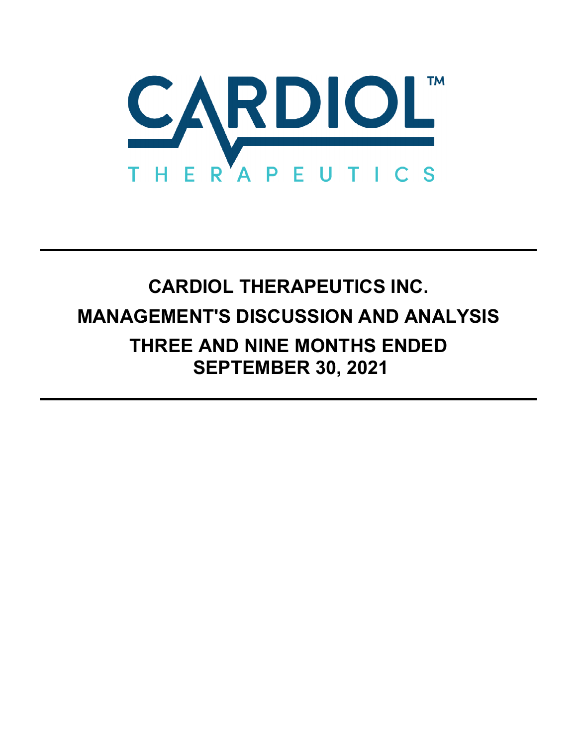

# **CARDIOL THERAPEUTICS INC. MANAGEMENT'S DISCUSSION AND ANALYSIS THREE AND NINE MONTHS ENDED SEPTEMBER 30, 2021**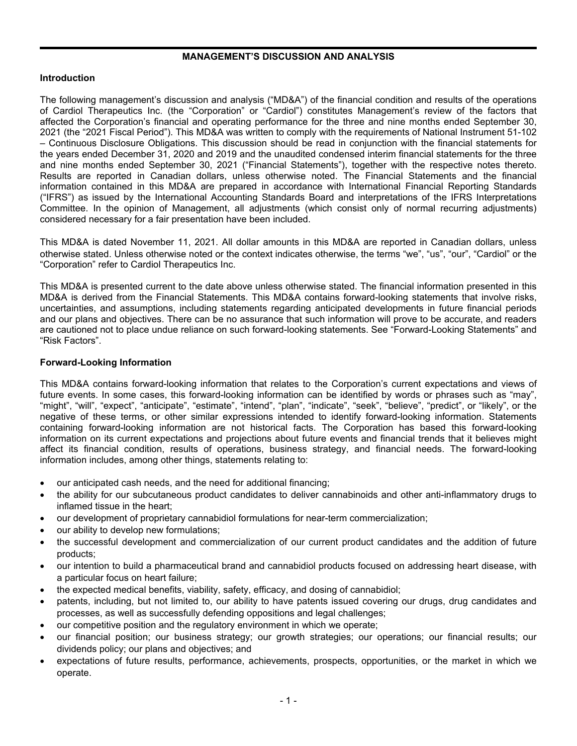## **MANAGEMENT'S DISCUSSION AND ANALYSIS**

# **Introduction**

The following management's discussion and analysis ("MD&A") of the financial condition and results of the operations of Cardiol Therapeutics Inc. (the "Corporation" or "Cardiol") constitutes Management's review of the factors that affected the Corporation's financial and operating performance for the three and nine months ended September 30, 2021 (the "2021 Fiscal Period"). This MD&A was written to comply with the requirements of National Instrument 51-102 – Continuous Disclosure Obligations. This discussion should be read in conjunction with the financial statements for the years ended December 31, 2020 and 2019 and the unaudited condensed interim financial statements for the three and nine months ended September 30, 2021 ("Financial Statements"), together with the respective notes thereto. Results are reported in Canadian dollars, unless otherwise noted. The Financial Statements and the financial information contained in this MD&A are prepared in accordance with International Financial Reporting Standards ("IFRS") as issued by the International Accounting Standards Board and interpretations of the IFRS Interpretations Committee. In the opinion of Management, all adjustments (which consist only of normal recurring adjustments) considered necessary for a fair presentation have been included.

This MD&A is dated November 11, 2021. All dollar amounts in this MD&A are reported in Canadian dollars, unless otherwise stated. Unless otherwise noted or the context indicates otherwise, the terms "we", "us", "our", "Cardiol" or the "Corporation" refer to Cardiol Therapeutics Inc.

This MD&A is presented current to the date above unless otherwise stated. The financial information presented in this MD&A is derived from the Financial Statements. This MD&A contains forward-looking statements that involve risks, uncertainties, and assumptions, including statements regarding anticipated developments in future financial periods and our plans and objectives. There can be no assurance that such information will prove to be accurate, and readers are cautioned not to place undue reliance on such forward-looking statements. See "Forward-Looking Statements" and "Risk Factors".

## **Forward-Looking Information**

This MD&A contains forward-looking information that relates to the Corporation's current expectations and views of future events. In some cases, this forward-looking information can be identified by words or phrases such as "may", "might", "will", "expect", "anticipate", "estimate", "intend", "plan", "indicate", "seek", "believe", "predict", or "likely", or the negative of these terms, or other similar expressions intended to identify forward-looking information. Statements containing forward-looking information are not historical facts. The Corporation has based this forward-looking information on its current expectations and projections about future events and financial trends that it believes might affect its financial condition, results of operations, business strategy, and financial needs. The forward-looking information includes, among other things, statements relating to:

- our anticipated cash needs, and the need for additional financing;
- the ability for our subcutaneous product candidates to deliver cannabinoids and other anti-inflammatory drugs to inflamed tissue in the heart;
- our development of proprietary cannabidiol formulations for near-term commercialization;
- our ability to develop new formulations;
- the successful development and commercialization of our current product candidates and the addition of future products;
- our intention to build a pharmaceutical brand and cannabidiol products focused on addressing heart disease, with a particular focus on heart failure;
- the expected medical benefits, viability, safety, efficacy, and dosing of cannabidiol;
- patents, including, but not limited to, our ability to have patents issued covering our drugs, drug candidates and processes, as well as successfully defending oppositions and legal challenges;
- our competitive position and the regulatory environment in which we operate;
- our financial position; our business strategy; our growth strategies; our operations; our financial results; our dividends policy; our plans and objectives; and
- expectations of future results, performance, achievements, prospects, opportunities, or the market in which we operate.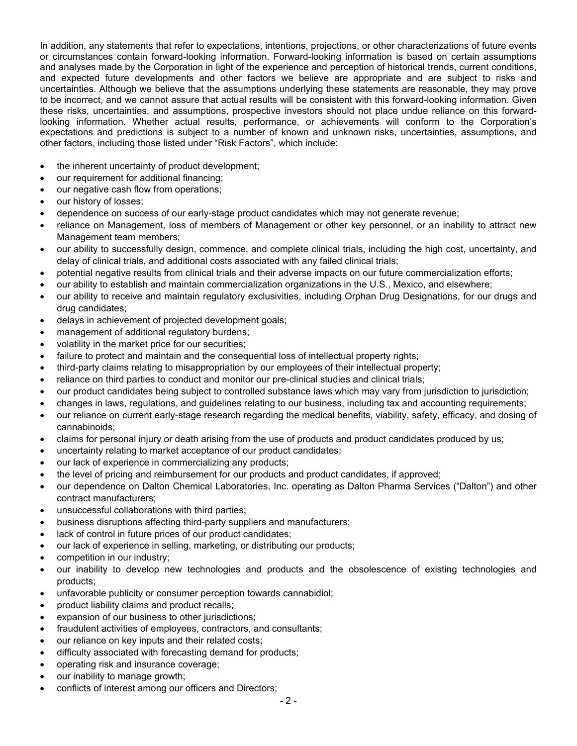In addition, any statements that refer to expectations, intentions, projections, or other characterizations of future events or circumstances contain forward-looking information. Forward-looking information is based on certain assumptions and analyses made by the Corporation in light of the experience and perception of historical trends, current conditions, and expected future developments and other factors we believe are appropriate and are subject to risks and uncertainties. Although we believe that the assumptions underlying these statements are reasonable, they may prove to be incorrect, and we cannot assure that actual results will be consistent with this forward-looking information. Given these risks, uncertainties, and assumptions, prospective investors should not place undue reliance on this forwardlooking information. Whether actual results, performance, or achievements will conform to the Corporation's expectations and predictions is subject to a number of known and unknown risks, uncertainties, assumptions, and other factors, including those listed under "Risk Factors", which include:

- the inherent uncertainty of product development;
- our requirement for additional financing;
- our negative cash flow from operations;
- our history of losses;
- dependence on success of our early-stage product candidates which may not generate revenue;
- reliance on Management, loss of members of Management or other key personnel, or an inability to attract new Management team members;
- our ability to successfully design, commence, and complete clinical trials, including the high cost, uncertainty, and delay of clinical trials, and additional costs associated with any failed clinical trials;
- potential negative results from clinical trials and their adverse impacts on our future commercialization efforts;
- our ability to establish and maintain commercialization organizations in the U.S., Mexico, and elsewhere;
- our ability to receive and maintain regulatory exclusivities, including Orphan Drug Designations, for our drugs and drug candidates;
- delays in achievement of projected development goals;
- management of additional regulatory burdens;
- volatility in the market price for our securities;
- failure to protect and maintain and the consequential loss of intellectual property rights;
- third-party claims relating to misappropriation by our employees of their intellectual property;
- reliance on third parties to conduct and monitor our pre-clinical studies and clinical trials;
- our product candidates being subject to controlled substance laws which may vary from jurisdiction to jurisdiction;
- changes in laws, regulations, and guidelines relating to our business, including tax and accounting requirements;
- our reliance on current early-stage research regarding the medical benefits, viability, safety, efficacy, and dosing of cannabinoids;
- claims for personal injury or death arising from the use of products and product candidates produced by us;
- uncertainty relating to market acceptance of our product candidates;
- our lack of experience in commercializing any products;
- the level of pricing and reimbursement for our products and product candidates, if approved;
- our dependence on Dalton Chemical Laboratories, Inc. operating as Dalton Pharma Services ("Dalton") and other contract manufacturers;
- unsuccessful collaborations with third parties;
- business disruptions affecting third-party suppliers and manufacturers;
- lack of control in future prices of our product candidates;
- our lack of experience in selling, marketing, or distributing our products;
- competition in our industry;
- our inability to develop new technologies and products and the obsolescence of existing technologies and products;
- unfavorable publicity or consumer perception towards cannabidiol;
- product liability claims and product recalls;
- expansion of our business to other jurisdictions;
- fraudulent activities of employees, contractors, and consultants;
- our reliance on key inputs and their related costs;
- difficulty associated with forecasting demand for products;
- operating risk and insurance coverage;
- our inability to manage growth;
- conflicts of interest among our officers and Directors;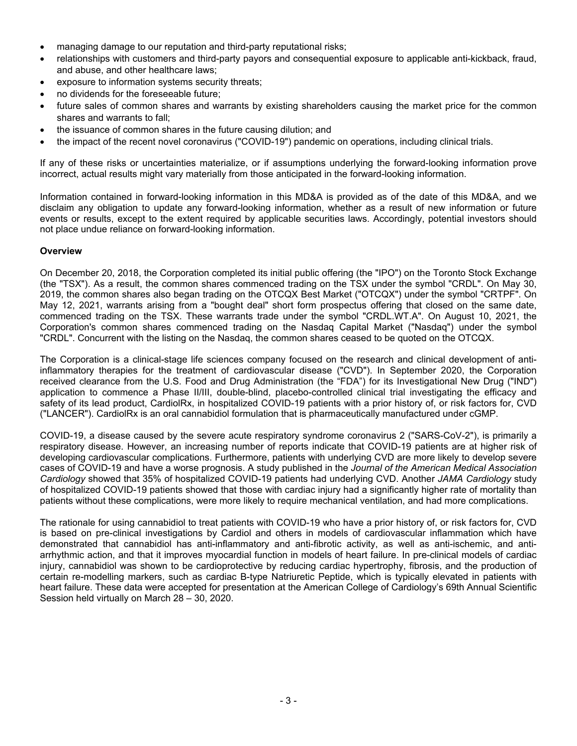- managing damage to our reputation and third-party reputational risks;
- relationships with customers and third-party payors and consequential exposure to applicable anti-kickback, fraud, and abuse, and other healthcare laws;
- exposure to information systems security threats;
- no dividends for the foreseeable future;
- future sales of common shares and warrants by existing shareholders causing the market price for the common shares and warrants to fall;
- the issuance of common shares in the future causing dilution; and
- the impact of the recent novel coronavirus ("COVID-19") pandemic on operations, including clinical trials.

If any of these risks or uncertainties materialize, or if assumptions underlying the forward-looking information prove incorrect, actual results might vary materially from those anticipated in the forward-looking information.

Information contained in forward-looking information in this MD&A is provided as of the date of this MD&A, and we disclaim any obligation to update any forward-looking information, whether as a result of new information or future events or results, except to the extent required by applicable securities laws. Accordingly, potential investors should not place undue reliance on forward-looking information.

#### **Overview**

On December 20, 2018, the Corporation completed its initial public offering (the "IPO") on the Toronto Stock Exchange (the "TSX"). As a result, the common shares commenced trading on the TSX under the symbol "CRDL". On May 30, 2019, the common shares also began trading on the OTCQX Best Market ("OTCQX") under the symbol "CRTPF". On May 12, 2021, warrants arising from a "bought deal" short form prospectus offering that closed on the same date, commenced trading on the TSX. These warrants trade under the symbol "CRDL.WT.A". On August 10, 2021, the Corporation's common shares commenced trading on the Nasdaq Capital Market ("Nasdaq") under the symbol "CRDL". Concurrent with the listing on the Nasdaq, the common shares ceased to be quoted on the OTCQX.

The Corporation is a clinical-stage life sciences company focused on the research and clinical development of antiinflammatory therapies for the treatment of cardiovascular disease ("CVD"). In September 2020, the Corporation received clearance from the U.S. Food and Drug Administration (the "FDA") for its Investigational New Drug ("IND") application to commence a Phase II/III, double-blind, placebo-controlled clinical trial investigating the efficacy and safety of its lead product, CardiolRx, in hospitalized COVID-19 patients with a prior history of, or risk factors for, CVD ("LANCER"). CardiolRx is an oral cannabidiol formulation that is pharmaceutically manufactured under cGMP.

COVID-19, a disease caused by the severe acute respiratory syndrome coronavirus 2 ("SARS-CoV-2"), is primarily a respiratory disease. However, an increasing number of reports indicate that COVID-19 patients are at higher risk of developing cardiovascular complications. Furthermore, patients with underlying CVD are more likely to develop severe cases of COVID-19 and have a worse prognosis. A study published in the *Journal of the American Medical Association Cardiology* showed that 35% of hospitalized COVID-19 patients had underlying CVD. Another *JAMA Cardiology* study of hospitalized COVID-19 patients showed that those with cardiac injury had a significantly higher rate of mortality than patients without these complications, were more likely to require mechanical ventilation, and had more complications.

The rationale for using cannabidiol to treat patients with COVID-19 who have a prior history of, or risk factors for, CVD is based on pre-clinical investigations by Cardiol and others in models of cardiovascular inflammation which have demonstrated that cannabidiol has anti-inflammatory and anti-fibrotic activity, as well as anti-ischemic, and antiarrhythmic action, and that it improves myocardial function in models of heart failure. In pre-clinical models of cardiac injury, cannabidiol was shown to be cardioprotective by reducing cardiac hypertrophy, fibrosis, and the production of certain re-modelling markers, such as cardiac B-type Natriuretic Peptide, which is typically elevated in patients with heart failure. These data were accepted for presentation at the American College of Cardiology's 69th Annual Scientific Session held virtually on March 28 – 30, 2020.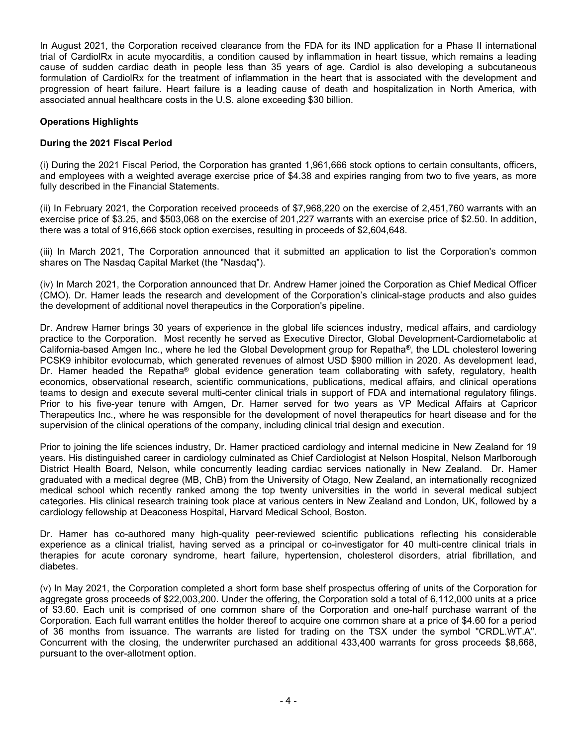In August 2021, the Corporation received clearance from the FDA for its IND application for a Phase II international trial of CardiolRx in acute myocarditis, a condition caused by inflammation in heart tissue, which remains a leading cause of sudden cardiac death in people less than 35 years of age. Cardiol is also developing a subcutaneous formulation of CardiolRx for the treatment of inflammation in the heart that is associated with the development and progression of heart failure. Heart failure is a leading cause of death and hospitalization in North America, with associated annual healthcare costs in the U.S. alone exceeding \$30 billion.

## **Operations Highlights**

# **During the 2021 Fiscal Period**

(i) During the 2021 Fiscal Period, the Corporation has granted 1,961,666 stock options to certain consultants, officers, and employees with a weighted average exercise price of \$4.38 and expiries ranging from two to five years, as more fully described in the Financial Statements.

(ii) In February 2021, the Corporation received proceeds of \$7,968,220 on the exercise of 2,451,760 warrants with an exercise price of \$3.25, and \$503,068 on the exercise of 201,227 warrants with an exercise price of \$2.50. In addition, there was a total of 916,666 stock option exercises, resulting in proceeds of \$2,604,648.

(iii) In March 2021, The Corporation announced that it submitted an application to list the Corporation's common shares on The Nasdaq Capital Market (the "Nasdaq").

(iv) In March 2021, the Corporation announced that Dr. Andrew Hamer joined the Corporation as Chief Medical Officer (CMO). Dr. Hamer leads the research and development of the Corporation's clinical-stage products and also guides the development of additional novel therapeutics in the Corporation's pipeline.

Dr. Andrew Hamer brings 30 years of experience in the global life sciences industry, medical affairs, and cardiology practice to the Corporation. Most recently he served as Executive Director, Global Development-Cardiometabolic at California-based Amgen Inc., where he led the Global Development group for Repatha®, the LDL cholesterol lowering PCSK9 inhibitor evolocumab, which generated revenues of almost USD \$900 million in 2020. As development lead, Dr. Hamer headed the Repatha<sup>®</sup> global evidence generation team collaborating with safety, regulatory, health economics, observational research, scientific communications, publications, medical affairs, and clinical operations teams to design and execute several multi-center clinical trials in support of FDA and international regulatory filings. Prior to his five-year tenure with Amgen, Dr. Hamer served for two years as VP Medical Affairs at Capricor Therapeutics Inc., where he was responsible for the development of novel therapeutics for heart disease and for the supervision of the clinical operations of the company, including clinical trial design and execution.

Prior to joining the life sciences industry, Dr. Hamer practiced cardiology and internal medicine in New Zealand for 19 years. His distinguished career in cardiology culminated as Chief Cardiologist at Nelson Hospital, Nelson Marlborough District Health Board, Nelson, while concurrently leading cardiac services nationally in New Zealand. Dr. Hamer graduated with a medical degree (MB, ChB) from the University of Otago, New Zealand, an internationally recognized medical school which recently ranked among the top twenty universities in the world in several medical subject categories. His clinical research training took place at various centers in New Zealand and London, UK, followed by a cardiology fellowship at Deaconess Hospital, Harvard Medical School, Boston.

Dr. Hamer has co-authored many high-quality peer-reviewed scientific publications reflecting his considerable experience as a clinical trialist, having served as a principal or co-investigator for 40 multi-centre clinical trials in therapies for acute coronary syndrome, heart failure, hypertension, cholesterol disorders, atrial fibrillation, and diabetes.

(v) In May 2021, the Corporation completed a short form base shelf prospectus offering of units of the Corporation for aggregate gross proceeds of \$22,003,200. Under the offering, the Corporation sold a total of 6,112,000 units at a price of \$3.60. Each unit is comprised of one common share of the Corporation and one-half purchase warrant of the Corporation. Each full warrant entitles the holder thereof to acquire one common share at a price of \$4.60 for a period of 36 months from issuance. The warrants are listed for trading on the TSX under the symbol "CRDL.WT.A". Concurrent with the closing, the underwriter purchased an additional 433,400 warrants for gross proceeds \$8,668, pursuant to the over-allotment option.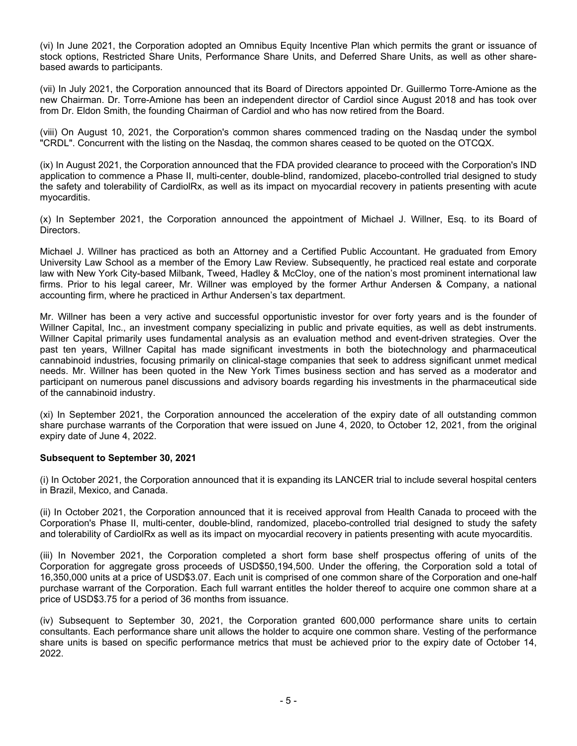(vi) In June 2021, the Corporation adopted an Omnibus Equity Incentive Plan which permits the grant or issuance of stock options, Restricted Share Units, Performance Share Units, and Deferred Share Units, as well as other sharebased awards to participants.

(vii) In July 2021, the Corporation announced that its Board of Directors appointed Dr. Guillermo Torre-Amione as the new Chairman. Dr. Torre-Amione has been an independent director of Cardiol since August 2018 and has took over from Dr. Eldon Smith, the founding Chairman of Cardiol and who has now retired from the Board.

(viii) On August 10, 2021, the Corporation's common shares commenced trading on the Nasdaq under the symbol "CRDL". Concurrent with the listing on the Nasdaq, the common shares ceased to be quoted on the OTCQX.

(ix) In August 2021, the Corporation announced that the FDA provided clearance to proceed with the Corporation's IND application to commence a Phase II, multi-center, double-blind, randomized, placebo-controlled trial designed to study the safety and tolerability of CardiolRx, as well as its impact on myocardial recovery in patients presenting with acute myocarditis.

(x) In September 2021, the Corporation announced the appointment of Michael J. Willner, Esq. to its Board of Directors.

Michael J. Willner has practiced as both an Attorney and a Certified Public Accountant. He graduated from Emory University Law School as a member of the Emory Law Review. Subsequently, he practiced real estate and corporate law with New York City-based Milbank, Tweed, Hadley & McCloy, one of the nation's most prominent international law firms. Prior to his legal career, Mr. Willner was employed by the former Arthur Andersen & Company, a national accounting firm, where he practiced in Arthur Andersen's tax department.

Mr. Willner has been a very active and successful opportunistic investor for over forty years and is the founder of Willner Capital, Inc., an investment company specializing in public and private equities, as well as debt instruments. Willner Capital primarily uses fundamental analysis as an evaluation method and event-driven strategies. Over the past ten years, Willner Capital has made significant investments in both the biotechnology and pharmaceutical cannabinoid industries, focusing primarily on clinical-stage companies that seek to address significant unmet medical needs. Mr. Willner has been quoted in the New York Times business section and has served as a moderator and participant on numerous panel discussions and advisory boards regarding his investments in the pharmaceutical side of the cannabinoid industry.

(xi) In September 2021, the Corporation announced the acceleration of the expiry date of all outstanding common share purchase warrants of the Corporation that were issued on June 4, 2020, to October 12, 2021, from the original expiry date of June 4, 2022.

#### **Subsequent to September 30, 2021**

(i) In October 2021, the Corporation announced that it is expanding its LANCER trial to include several hospital centers in Brazil, Mexico, and Canada.

(ii) In October 2021, the Corporation announced that it is received approval from Health Canada to proceed with the Corporation's Phase II, multi-center, double-blind, randomized, placebo-controlled trial designed to study the safety and tolerability of CardiolRx as well as its impact on myocardial recovery in patients presenting with acute myocarditis.

(iii) In November 2021, the Corporation completed a short form base shelf prospectus offering of units of the Corporation for aggregate gross proceeds of USD\$50,194,500. Under the offering, the Corporation sold a total of 16,350,000 units at a price of USD\$3.07. Each unit is comprised of one common share of the Corporation and one-half purchase warrant of the Corporation. Each full warrant entitles the holder thereof to acquire one common share at a price of USD\$3.75 for a period of 36 months from issuance.

(iv) Subsequent to September 30, 2021, the Corporation granted 600,000 performance share units to certain consultants. Each performance share unit allows the holder to acquire one common share. Vesting of the performance share units is based on specific performance metrics that must be achieved prior to the expiry date of October 14, 2022.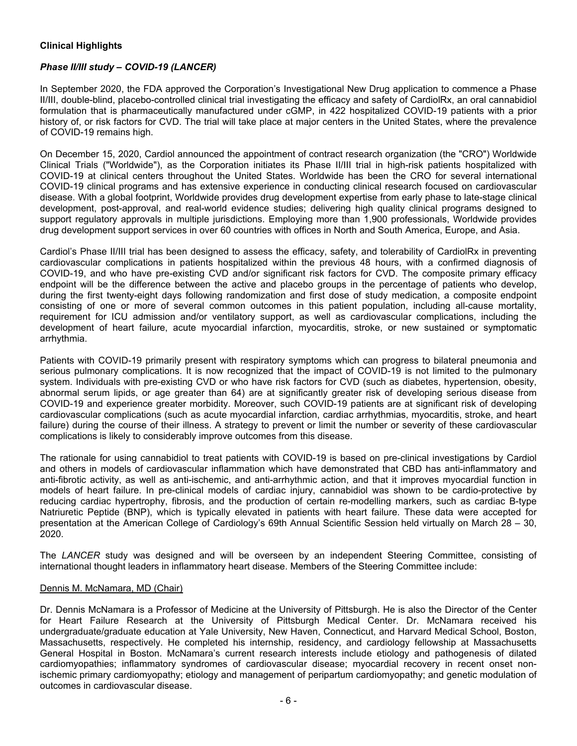## **Clinical Highlights**

# *Phase II/III study – COVID-19 (LANCER)*

In September 2020, the FDA approved the Corporation's Investigational New Drug application to commence a Phase II/III, double-blind, placebo-controlled clinical trial investigating the efficacy and safety of CardiolRx, an oral cannabidiol formulation that is pharmaceutically manufactured under cGMP, in 422 hospitalized COVID-19 patients with a prior history of, or risk factors for CVD. The trial will take place at major centers in the United States, where the prevalence of COVID-19 remains high.

On December 15, 2020, Cardiol announced the appointment of contract research organization (the "CRO") Worldwide Clinical Trials ("Worldwide"), as the Corporation initiates its Phase II/III trial in high-risk patients hospitalized with COVID-19 at clinical centers throughout the United States. Worldwide has been the CRO for several international COVID-19 clinical programs and has extensive experience in conducting clinical research focused on cardiovascular disease. With a global footprint, Worldwide provides drug development expertise from early phase to late-stage clinical development, post-approval, and real-world evidence studies; delivering high quality clinical programs designed to support regulatory approvals in multiple jurisdictions. Employing more than 1,900 professionals, Worldwide provides drug development support services in over 60 countries with offices in North and South America, Europe, and Asia.

Cardiol's Phase II/III trial has been designed to assess the efficacy, safety, and tolerability of CardiolRx in preventing cardiovascular complications in patients hospitalized within the previous 48 hours, with a confirmed diagnosis of COVID-19, and who have pre-existing CVD and/or significant risk factors for CVD. The composite primary efficacy endpoint will be the difference between the active and placebo groups in the percentage of patients who develop, during the first twenty-eight days following randomization and first dose of study medication, a composite endpoint consisting of one or more of several common outcomes in this patient population, including all-cause mortality, requirement for ICU admission and/or ventilatory support, as well as cardiovascular complications, including the development of heart failure, acute myocardial infarction, myocarditis, stroke, or new sustained or symptomatic arrhythmia.

Patients with COVID-19 primarily present with respiratory symptoms which can progress to bilateral pneumonia and serious pulmonary complications. It is now recognized that the impact of COVID-19 is not limited to the pulmonary system. Individuals with pre-existing CVD or who have risk factors for CVD (such as diabetes, hypertension, obesity, abnormal serum lipids, or age greater than 64) are at significantly greater risk of developing serious disease from COVID-19 and experience greater morbidity. Moreover, such COVID-19 patients are at significant risk of developing cardiovascular complications (such as acute myocardial infarction, cardiac arrhythmias, myocarditis, stroke, and heart failure) during the course of their illness. A strategy to prevent or limit the number or severity of these cardiovascular complications is likely to considerably improve outcomes from this disease.

The rationale for using cannabidiol to treat patients with COVID-19 is based on pre-clinical investigations by Cardiol and others in models of cardiovascular inflammation which have demonstrated that CBD has anti-inflammatory and anti-fibrotic activity, as well as anti-ischemic, and anti-arrhythmic action, and that it improves myocardial function in models of heart failure. In pre-clinical models of cardiac injury, cannabidiol was shown to be cardio-protective by reducing cardiac hypertrophy, fibrosis, and the production of certain re-modelling markers, such as cardiac B-type Natriuretic Peptide (BNP), which is typically elevated in patients with heart failure. These data were accepted for presentation at the American College of Cardiology's 69th Annual Scientific Session held virtually on March 28 – 30, 2020.

The *LANCER* study was designed and will be overseen by an independent Steering Committee, consisting of international thought leaders in inflammatory heart disease. Members of the Steering Committee include:

#### Dennis M. McNamara, MD (Chair)

Dr. Dennis McNamara is a Professor of Medicine at the University of Pittsburgh. He is also the Director of the Center for Heart Failure Research at the University of Pittsburgh Medical Center. Dr. McNamara received his undergraduate/graduate education at Yale University, New Haven, Connecticut, and Harvard Medical School, Boston, Massachusetts, respectively. He completed his internship, residency, and cardiology fellowship at Massachusetts General Hospital in Boston. McNamara's current research interests include etiology and pathogenesis of dilated cardiomyopathies; inflammatory syndromes of cardiovascular disease; myocardial recovery in recent onset nonischemic primary cardiomyopathy; etiology and management of peripartum cardiomyopathy; and genetic modulation of outcomes in cardiovascular disease.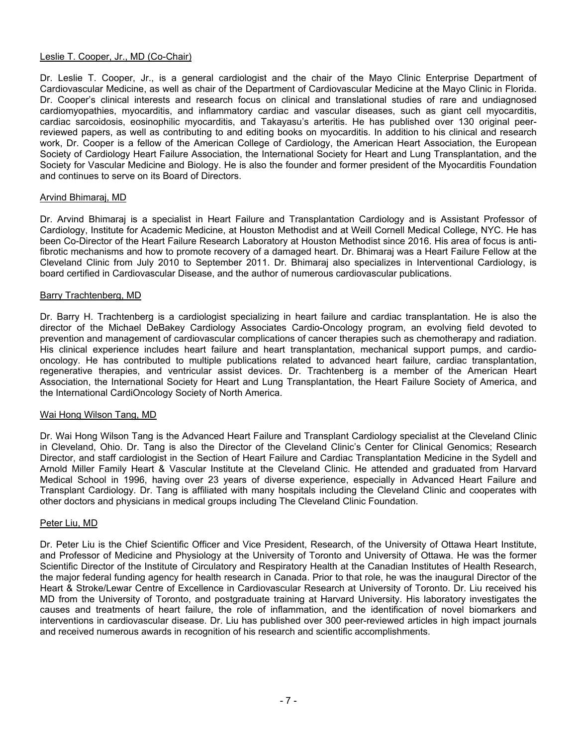#### Leslie T. Cooper, Jr., MD (Co-Chair)

Dr. Leslie T. Cooper, Jr., is a general cardiologist and the chair of the Mayo Clinic Enterprise Department of Cardiovascular Medicine, as well as chair of the Department of Cardiovascular Medicine at the Mayo Clinic in Florida. Dr. Cooper's clinical interests and research focus on clinical and translational studies of rare and undiagnosed cardiomyopathies, myocarditis, and inflammatory cardiac and vascular diseases, such as giant cell myocarditis, cardiac sarcoidosis, eosinophilic myocarditis, and Takayasu's arteritis. He has published over 130 original peerreviewed papers, as well as contributing to and editing books on myocarditis. In addition to his clinical and research work, Dr. Cooper is a fellow of the American College of Cardiology, the American Heart Association, the European Society of Cardiology Heart Failure Association, the International Society for Heart and Lung Transplantation, and the Society for Vascular Medicine and Biology. He is also the founder and former president of the Myocarditis Foundation and continues to serve on its Board of Directors.

#### Arvind Bhimaraj, MD

Dr. Arvind Bhimaraj is a specialist in Heart Failure and Transplantation Cardiology and is Assistant Professor of Cardiology, Institute for Academic Medicine, at Houston Methodist and at Weill Cornell Medical College, NYC. He has been Co-Director of the Heart Failure Research Laboratory at Houston Methodist since 2016. His area of focus is antifibrotic mechanisms and how to promote recovery of a damaged heart. Dr. Bhimaraj was a Heart Failure Fellow at the Cleveland Clinic from July 2010 to September 2011. Dr. Bhimaraj also specializes in Interventional Cardiology, is board certified in Cardiovascular Disease, and the author of numerous cardiovascular publications.

## Barry Trachtenberg, MD

Dr. Barry H. Trachtenberg is a cardiologist specializing in heart failure and cardiac transplantation. He is also the director of the Michael DeBakey Cardiology Associates Cardio-Oncology program, an evolving field devoted to prevention and management of cardiovascular complications of cancer therapies such as chemotherapy and radiation. His clinical experience includes heart failure and heart transplantation, mechanical support pumps, and cardiooncology. He has contributed to multiple publications related to advanced heart failure, cardiac transplantation, regenerative therapies, and ventricular assist devices. Dr. Trachtenberg is a member of the American Heart Association, the International Society for Heart and Lung Transplantation, the Heart Failure Society of America, and the International CardiOncology Society of North America.

#### Wai Hong Wilson Tang, MD

Dr. Wai Hong Wilson Tang is the Advanced Heart Failure and Transplant Cardiology specialist at the Cleveland Clinic in Cleveland, Ohio. Dr. Tang is also the Director of the Cleveland Clinic's Center for Clinical Genomics; Research Director, and staff cardiologist in the Section of Heart Failure and Cardiac Transplantation Medicine in the Sydell and Arnold Miller Family Heart & Vascular Institute at the Cleveland Clinic. He attended and graduated from Harvard Medical School in 1996, having over 23 years of diverse experience, especially in Advanced Heart Failure and Transplant Cardiology. Dr. Tang is affiliated with many hospitals including the Cleveland Clinic and cooperates with other doctors and physicians in medical groups including The Cleveland Clinic Foundation.

#### Peter Liu, MD

Dr. Peter Liu is the Chief Scientific Officer and Vice President, Research, of the University of Ottawa Heart Institute, and Professor of Medicine and Physiology at the University of Toronto and University of Ottawa. He was the former Scientific Director of the Institute of Circulatory and Respiratory Health at the Canadian Institutes of Health Research, the major federal funding agency for health research in Canada. Prior to that role, he was the inaugural Director of the Heart & Stroke/Lewar Centre of Excellence in Cardiovascular Research at University of Toronto. Dr. Liu received his MD from the University of Toronto, and postgraduate training at Harvard University. His laboratory investigates the causes and treatments of heart failure, the role of inflammation, and the identification of novel biomarkers and interventions in cardiovascular disease. Dr. Liu has published over 300 peer-reviewed articles in high impact journals and received numerous awards in recognition of his research and scientific accomplishments.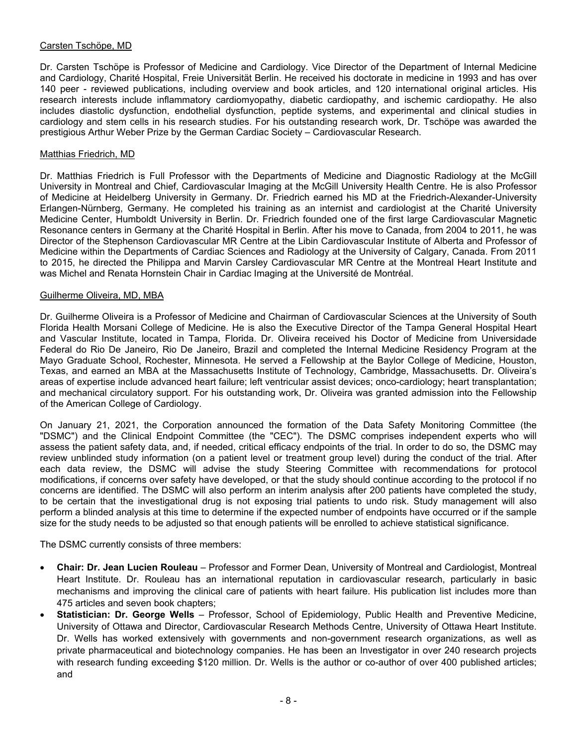## Carsten Tschöpe, MD

Dr. Carsten Tschöpe is Professor of Medicine and Cardiology. Vice Director of the Department of Internal Medicine and Cardiology, Charité Hospital, Freie Universität Berlin. He received his doctorate in medicine in 1993 and has over 140 peer - reviewed publications, including overview and book articles, and 120 international original articles. His research interests include inflammatory cardiomyopathy, diabetic cardiopathy, and ischemic cardiopathy. He also includes diastolic dysfunction, endothelial dysfunction, peptide systems, and experimental and clinical studies in cardiology and stem cells in his research studies. For his outstanding research work, Dr. Tschöpe was awarded the prestigious Arthur Weber Prize by the German Cardiac Society – Cardiovascular Research.

#### Matthias Friedrich, MD

Dr. Matthias Friedrich is Full Professor with the Departments of Medicine and Diagnostic Radiology at the McGill University in Montreal and Chief, Cardiovascular Imaging at the McGill University Health Centre. He is also Professor of Medicine at Heidelberg University in Germany. Dr. Friedrich earned his MD at the Friedrich-Alexander-University Erlangen-Nürnberg, Germany. He completed his training as an internist and cardiologist at the Charité University Medicine Center, Humboldt University in Berlin. Dr. Friedrich founded one of the first large Cardiovascular Magnetic Resonance centers in Germany at the Charité Hospital in Berlin. After his move to Canada, from 2004 to 2011, he was Director of the Stephenson Cardiovascular MR Centre at the Libin Cardiovascular Institute of Alberta and Professor of Medicine within the Departments of Cardiac Sciences and Radiology at the University of Calgary, Canada. From 2011 to 2015, he directed the Philippa and Marvin Carsley Cardiovascular MR Centre at the Montreal Heart Institute and was Michel and Renata Hornstein Chair in Cardiac Imaging at the Université de Montréal.

## Guilherme Oliveira, MD, MBA

Dr. Guilherme Oliveira is a Professor of Medicine and Chairman of Cardiovascular Sciences at the University of South Florida Health Morsani College of Medicine. He is also the Executive Director of the Tampa General Hospital Heart and Vascular Institute, located in Tampa, Florida. Dr. Oliveira received his Doctor of Medicine from Universidade Federal do Rio De Janeiro, Rio De Janeiro, Brazil and completed the Internal Medicine Residency Program at the Mayo Graduate School, Rochester, Minnesota. He served a Fellowship at the Baylor College of Medicine, Houston, Texas, and earned an MBA at the Massachusetts Institute of Technology, Cambridge, Massachusetts. Dr. Oliveira's areas of expertise include advanced heart failure; left ventricular assist devices; onco-cardiology; heart transplantation; and mechanical circulatory support. For his outstanding work, Dr. Oliveira was granted admission into the Fellowship of the American College of Cardiology.

On January 21, 2021, the Corporation announced the formation of the Data Safety Monitoring Committee (the "DSMC") and the Clinical Endpoint Committee (the "CEC"). The DSMC comprises independent experts who will assess the patient safety data, and, if needed, critical efficacy endpoints of the trial. In order to do so, the DSMC may review unblinded study information (on a patient level or treatment group level) during the conduct of the trial. After each data review, the DSMC will advise the study Steering Committee with recommendations for protocol modifications, if concerns over safety have developed, or that the study should continue according to the protocol if no concerns are identified. The DSMC will also perform an interim analysis after 200 patients have completed the study, to be certain that the investigational drug is not exposing trial patients to undo risk. Study management will also perform a blinded analysis at this time to determine if the expected number of endpoints have occurred or if the sample size for the study needs to be adjusted so that enough patients will be enrolled to achieve statistical significance.

The DSMC currently consists of three members:

- **Chair: Dr. Jean Lucien Rouleau** Professor and Former Dean, University of Montreal and Cardiologist, Montreal Heart Institute. Dr. Rouleau has an international reputation in cardiovascular research, particularly in basic mechanisms and improving the clinical care of patients with heart failure. His publication list includes more than 475 articles and seven book chapters;
- **Statistician: Dr. George Wells** Professor, School of Epidemiology, Public Health and Preventive Medicine, University of Ottawa and Director, Cardiovascular Research Methods Centre, University of Ottawa Heart Institute. Dr. Wells has worked extensively with governments and non-government research organizations, as well as private pharmaceutical and biotechnology companies. He has been an Investigator in over 240 research projects with research funding exceeding \$120 million. Dr. Wells is the author or co-author of over 400 published articles; and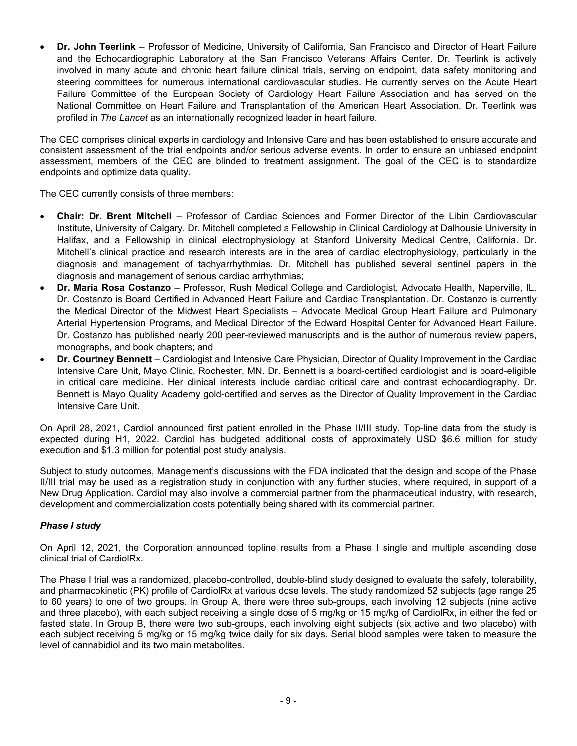**Dr. John Teerlink** – Professor of Medicine, University of California, San Francisco and Director of Heart Failure and the Echocardiographic Laboratory at the San Francisco Veterans Affairs Center. Dr. Teerlink is actively involved in many acute and chronic heart failure clinical trials, serving on endpoint, data safety monitoring and steering committees for numerous international cardiovascular studies. He currently serves on the Acute Heart Failure Committee of the European Society of Cardiology Heart Failure Association and has served on the National Committee on Heart Failure and Transplantation of the American Heart Association. Dr. Teerlink was profiled in *The Lancet* as an internationally recognized leader in heart failure.

The CEC comprises clinical experts in cardiology and Intensive Care and has been established to ensure accurate and consistent assessment of the trial endpoints and/or serious adverse events. In order to ensure an unbiased endpoint assessment, members of the CEC are blinded to treatment assignment. The goal of the CEC is to standardize endpoints and optimize data quality.

The CEC currently consists of three members:

- **Chair: Dr. Brent Mitchell** Professor of Cardiac Sciences and Former Director of the Libin Cardiovascular Institute, University of Calgary. Dr. Mitchell completed a Fellowship in Clinical Cardiology at Dalhousie University in Halifax, and a Fellowship in clinical electrophysiology at Stanford University Medical Centre, California. Dr. Mitchell's clinical practice and research interests are in the area of cardiac electrophysiology, particularly in the diagnosis and management of tachyarrhythmias. Dr. Mitchell has published several sentinel papers in the diagnosis and management of serious cardiac arrhythmias;
- **Dr. Maria Rosa Costanzo** Professor, Rush Medical College and Cardiologist, Advocate Health, Naperville, IL. Dr. Costanzo is Board Certified in Advanced Heart Failure and Cardiac Transplantation. Dr. Costanzo is currently the Medical Director of the Midwest Heart Specialists – Advocate Medical Group Heart Failure and Pulmonary Arterial Hypertension Programs, and Medical Director of the Edward Hospital Center for Advanced Heart Failure. Dr. Costanzo has published nearly 200 peer-reviewed manuscripts and is the author of numerous review papers, monographs, and book chapters; and
- **Dr. Courtney Bennett** Cardiologist and Intensive Care Physician, Director of Quality Improvement in the Cardiac Intensive Care Unit, Mayo Clinic, Rochester, MN. Dr. Bennett is a board-certified cardiologist and is board-eligible in critical care medicine. Her clinical interests include cardiac critical care and contrast echocardiography. Dr. Bennett is Mayo Quality Academy gold-certified and serves as the Director of Quality Improvement in the Cardiac Intensive Care Unit.

On April 28, 2021, Cardiol announced first patient enrolled in the Phase II/III study. Top-line data from the study is expected during H1, 2022. Cardiol has budgeted additional costs of approximately USD \$6.6 million for study execution and \$1.3 million for potential post study analysis.

Subject to study outcomes, Management's discussions with the FDA indicated that the design and scope of the Phase II/III trial may be used as a registration study in conjunction with any further studies, where required, in support of a New Drug Application. Cardiol may also involve a commercial partner from the pharmaceutical industry, with research, development and commercialization costs potentially being shared with its commercial partner.

## *Phase I study*

On April 12, 2021, the Corporation announced topline results from a Phase I single and multiple ascending dose clinical trial of CardiolRx.

The Phase I trial was a randomized, placebo-controlled, double-blind study designed to evaluate the safety, tolerability, and pharmacokinetic (PK) profile of CardiolRx at various dose levels. The study randomized 52 subjects (age range 25 to 60 years) to one of two groups. In Group A, there were three sub-groups, each involving 12 subjects (nine active and three placebo), with each subject receiving a single dose of 5 mg/kg or 15 mg/kg of CardiolRx, in either the fed or fasted state. In Group B, there were two sub-groups, each involving eight subjects (six active and two placebo) with each subject receiving 5 mg/kg or 15 mg/kg twice daily for six days. Serial blood samples were taken to measure the level of cannabidiol and its two main metabolites.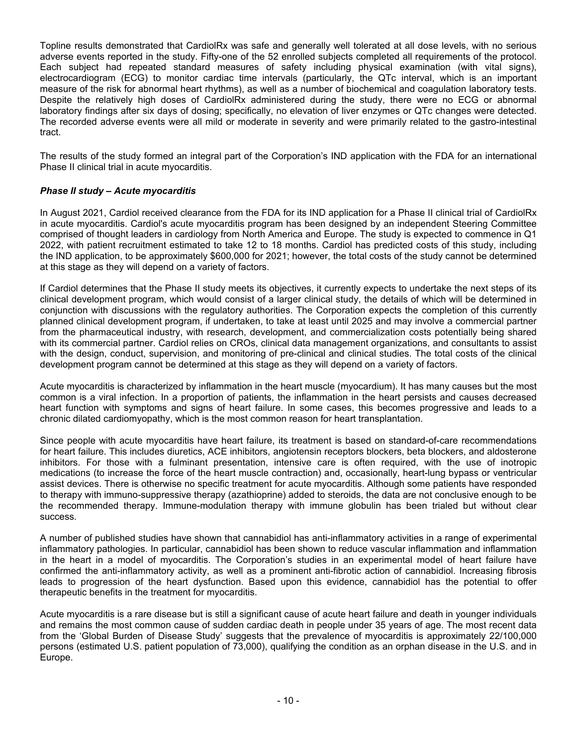Topline results demonstrated that CardiolRx was safe and generally well tolerated at all dose levels, with no serious adverse events reported in the study. Fifty-one of the 52 enrolled subjects completed all requirements of the protocol. Each subject had repeated standard measures of safety including physical examination (with vital signs), electrocardiogram (ECG) to monitor cardiac time intervals (particularly, the QTc interval, which is an important measure of the risk for abnormal heart rhythms), as well as a number of biochemical and coagulation laboratory tests. Despite the relatively high doses of CardiolRx administered during the study, there were no ECG or abnormal laboratory findings after six days of dosing; specifically, no elevation of liver enzymes or QTc changes were detected. The recorded adverse events were all mild or moderate in severity and were primarily related to the gastro-intestinal tract.

The results of the study formed an integral part of the Corporation's IND application with the FDA for an international Phase II clinical trial in acute myocarditis.

## *Phase II study – Acute myocarditis*

In August 2021, Cardiol received clearance from the FDA for its IND application for a Phase II clinical trial of CardiolRx in acute myocarditis. Cardiol's acute myocarditis program has been designed by an independent Steering Committee comprised of thought leaders in cardiology from North America and Europe. The study is expected to commence in Q1 2022, with patient recruitment estimated to take 12 to 18 months. Cardiol has predicted costs of this study, including the IND application, to be approximately \$600,000 for 2021; however, the total costs of the study cannot be determined at this stage as they will depend on a variety of factors.

If Cardiol determines that the Phase II study meets its objectives, it currently expects to undertake the next steps of its clinical development program, which would consist of a larger clinical study, the details of which will be determined in conjunction with discussions with the regulatory authorities. The Corporation expects the completion of this currently planned clinical development program, if undertaken, to take at least until 2025 and may involve a commercial partner from the pharmaceutical industry, with research, development, and commercialization costs potentially being shared with its commercial partner. Cardiol relies on CROs, clinical data management organizations, and consultants to assist with the design, conduct, supervision, and monitoring of pre-clinical and clinical studies. The total costs of the clinical development program cannot be determined at this stage as they will depend on a variety of factors.

Acute myocarditis is characterized by inflammation in the heart muscle (myocardium). It has many causes but the most common is a viral infection. In a proportion of patients, the inflammation in the heart persists and causes decreased heart function with symptoms and signs of heart failure. In some cases, this becomes progressive and leads to a chronic dilated cardiomyopathy, which is the most common reason for heart transplantation.

Since people with acute myocarditis have heart failure, its treatment is based on standard-of-care recommendations for heart failure. This includes diuretics, ACE inhibitors, angiotensin receptors blockers, beta blockers, and aldosterone inhibitors. For those with a fulminant presentation, intensive care is often required, with the use of inotropic medications (to increase the force of the heart muscle contraction) and, occasionally, heart-lung bypass or ventricular assist devices. There is otherwise no specific treatment for acute myocarditis. Although some patients have responded to therapy with immuno-suppressive therapy (azathioprine) added to steroids, the data are not conclusive enough to be the recommended therapy. Immune-modulation therapy with immune globulin has been trialed but without clear success.

A number of published studies have shown that cannabidiol has anti-inflammatory activities in a range of experimental inflammatory pathologies. In particular, cannabidiol has been shown to reduce vascular inflammation and inflammation in the heart in a model of myocarditis. The Corporation's studies in an experimental model of heart failure have confirmed the anti-inflammatory activity, as well as a prominent anti-fibrotic action of cannabidiol. Increasing fibrosis leads to progression of the heart dysfunction. Based upon this evidence, cannabidiol has the potential to offer therapeutic benefits in the treatment for myocarditis.

Acute myocarditis is a rare disease but is still a significant cause of acute heart failure and death in younger individuals and remains the most common cause of sudden cardiac death in people under 35 years of age. The most recent data from the 'Global Burden of Disease Study' suggests that the prevalence of myocarditis is approximately 22/100,000 persons (estimated U.S. patient population of 73,000), qualifying the condition as an orphan disease in the U.S. and in Europe.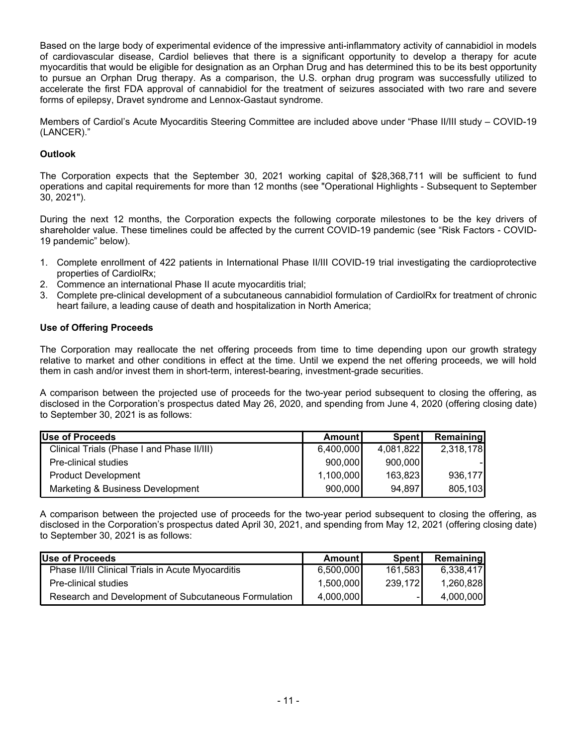Based on the large body of experimental evidence of the impressive anti-inflammatory activity of cannabidiol in models of cardiovascular disease, Cardiol believes that there is a significant opportunity to develop a therapy for acute myocarditis that would be eligible for designation as an Orphan Drug and has determined this to be its best opportunity to pursue an Orphan Drug therapy. As a comparison, the U.S. orphan drug program was successfully utilized to accelerate the first FDA approval of cannabidiol for the treatment of seizures associated with two rare and severe forms of epilepsy, Dravet syndrome and Lennox-Gastaut syndrome.

Members of Cardiol's Acute Myocarditis Steering Committee are included above under "Phase II/III study – COVID-19 (LANCER)."

# **Outlook**

The Corporation expects that the September 30, 2021 working capital of \$28,368,711 will be sufficient to fund operations and capital requirements for more than 12 months (see "Operational Highlights - Subsequent to September 30, 2021").

During the next 12 months, the Corporation expects the following corporate milestones to be the key drivers of shareholder value. These timelines could be affected by the current COVID-19 pandemic (see "Risk Factors - COVID-19 pandemic" below).

- 1. Complete enrollment of 422 patients in International Phase II/III COVID-19 trial investigating the cardioprotective properties of CardiolRx;
- 2. Commence an international Phase II acute myocarditis trial;
- 3. Complete pre-clinical development of a subcutaneous cannabidiol formulation of CardiolRx for treatment of chronic heart failure, a leading cause of death and hospitalization in North America;

## **Use of Offering Proceeds**

The Corporation may reallocate the net offering proceeds from time to time depending upon our growth strategy relative to market and other conditions in effect at the time. Until we expend the net offering proceeds, we will hold them in cash and/or invest them in short-term, interest-bearing, investment-grade securities.

A comparison between the projected use of proceeds for the two-year period subsequent to closing the offering, as disclosed in the Corporation's prospectus dated May 26, 2020, and spending from June 4, 2020 (offering closing date) to September 30, 2021 is as follows:

| Use of Proceeds                            | Amountl   | Spent     | <b>Remaining</b> |
|--------------------------------------------|-----------|-----------|------------------|
| Clinical Trials (Phase I and Phase II/III) | 6,400,000 | 4,081,822 | 2,318,178        |
| Pre-clinical studies                       | 900,000   | 900,000   |                  |
| <b>Product Development</b>                 | 1,100,000 | 163,823   | 936,177          |
| Marketing & Business Development           | 900,000   | 94,897    | 805,103          |

A comparison between the projected use of proceeds for the two-year period subsequent to closing the offering, as disclosed in the Corporation's prospectus dated April 30, 2021, and spending from May 12, 2021 (offering closing date) to September 30, 2021 is as follows:

| Use of Proceeds                                          | Amountl   | Spentl   | Remaining |
|----------------------------------------------------------|-----------|----------|-----------|
| <b>Phase II/III Clinical Trials in Acute Myocarditis</b> | 6,500,000 | 161,583  | 6.338.417 |
| Pre-clinical studies                                     | 1.500.000 | 239.1721 | 1.260.828 |
| Research and Development of Subcutaneous Formulation     | 4.000.000 |          | 4.000.000 |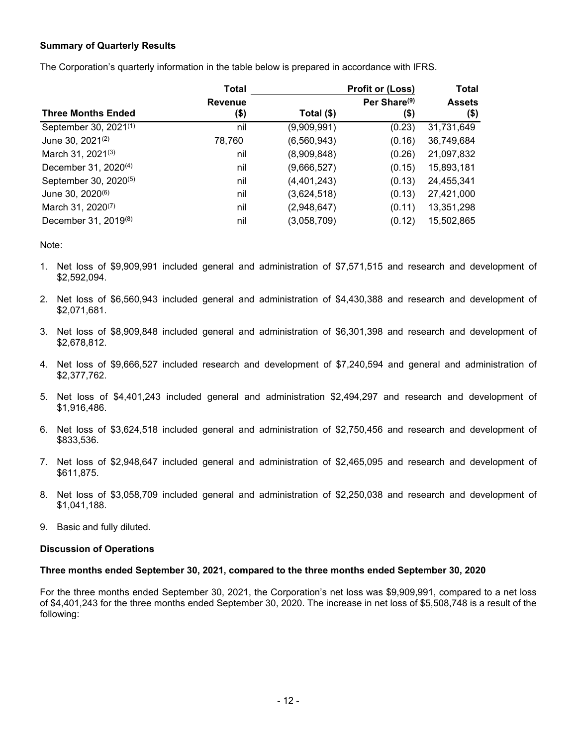## **Summary of Quarterly Results**

The Corporation's quarterly information in the table below is prepared in accordance with IFRS.

| <b>Total</b>                      |                |              | <b>Profit or (Loss)</b>  | <b>Total</b>  |
|-----------------------------------|----------------|--------------|--------------------------|---------------|
|                                   | <b>Revenue</b> |              | Per Share <sup>(9)</sup> | <b>Assets</b> |
| <b>Three Months Ended</b>         | (\$)           | Total $(\$)$ | $($ \$)                  | (\$)          |
| September 30, 2021(1)             | nil            | (9,909,991)  | (0.23)                   | 31,731,649    |
| June 30, 2021 <sup>(2)</sup>      | 78,760         | (6,560,943)  | (0.16)                   | 36,749,684    |
| March 31, 2021 <sup>(3)</sup>     | nil            | (8,909,848)  | (0.26)                   | 21,097,832    |
| December 31, 2020 <sup>(4)</sup>  | nil            | (9,666,527)  | (0.15)                   | 15,893,181    |
| September 30, 2020 <sup>(5)</sup> | nil            | (4,401,243)  | (0.13)                   | 24,455,341    |
| June 30, 2020 <sup>(6)</sup>      | nil            | (3,624,518)  | (0.13)                   | 27,421,000    |
| March 31, 2020 <sup>(7)</sup>     | nil            | (2,948,647)  | (0.11)                   | 13,351,298    |
| December 31, 2019 <sup>(8)</sup>  | nil            | (3,058,709)  | (0.12)                   | 15,502,865    |

Note:

- 1. Net loss of \$9,909,991 included general and administration of \$7,571,515 and research and development of \$2,592,094.
- 2. Net loss of \$6,560,943 included general and administration of \$4,430,388 and research and development of \$2,071,681.
- 3. Net loss of \$8,909,848 included general and administration of \$6,301,398 and research and development of \$2,678,812.
- 4. Net loss of \$9,666,527 included research and development of \$7,240,594 and general and administration of \$2,377,762.
- 5. Net loss of \$4,401,243 included general and administration \$2,494,297 and research and development of \$1,916,486.
- 6. Net loss of \$3,624,518 included general and administration of \$2,750,456 and research and development of \$833,536.
- 7. Net loss of \$2,948,647 included general and administration of \$2,465,095 and research and development of \$611,875.
- 8. Net loss of \$3,058,709 included general and administration of \$2,250,038 and research and development of \$1,041,188.
- 9. Basic and fully diluted.

#### **Discussion of Operations**

#### **Three months ended September 30, 2021, compared to the three months ended September 30, 2020**

For the three months ended September 30, 2021, the Corporation's net loss was \$9,909,991, compared to a net loss of \$4,401,243 for the three months ended September 30, 2020. The increase in net loss of \$5,508,748 is a result of the following: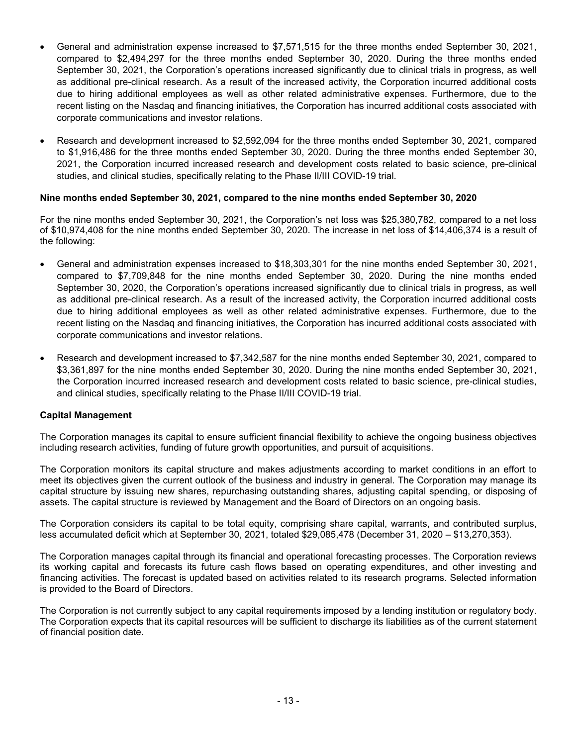- General and administration expense increased to \$7,571,515 for the three months ended September 30, 2021, compared to \$2,494,297 for the three months ended September 30, 2020. During the three months ended September 30, 2021, the Corporation's operations increased significantly due to clinical trials in progress, as well as additional pre-clinical research. As a result of the increased activity, the Corporation incurred additional costs due to hiring additional employees as well as other related administrative expenses. Furthermore, due to the recent listing on the Nasdaq and financing initiatives, the Corporation has incurred additional costs associated with corporate communications and investor relations.
- Research and development increased to \$2,592,094 for the three months ended September 30, 2021, compared to \$1,916,486 for the three months ended September 30, 2020. During the three months ended September 30, 2021, the Corporation incurred increased research and development costs related to basic science, pre-clinical studies, and clinical studies, specifically relating to the Phase II/III COVID-19 trial.

## **Nine months ended September 30, 2021, compared to the nine months ended September 30, 2020**

For the nine months ended September 30, 2021, the Corporation's net loss was \$25,380,782, compared to a net loss of \$10,974,408 for the nine months ended September 30, 2020. The increase in net loss of \$14,406,374 is a result of the following:

- General and administration expenses increased to \$18,303,301 for the nine months ended September 30, 2021, compared to \$7,709,848 for the nine months ended September 30, 2020. During the nine months ended September 30, 2020, the Corporation's operations increased significantly due to clinical trials in progress, as well as additional pre-clinical research. As a result of the increased activity, the Corporation incurred additional costs due to hiring additional employees as well as other related administrative expenses. Furthermore, due to the recent listing on the Nasdaq and financing initiatives, the Corporation has incurred additional costs associated with corporate communications and investor relations.
- Research and development increased to \$7,342,587 for the nine months ended September 30, 2021, compared to \$3,361,897 for the nine months ended September 30, 2020. During the nine months ended September 30, 2021, the Corporation incurred increased research and development costs related to basic science, pre-clinical studies, and clinical studies, specifically relating to the Phase II/III COVID-19 trial.

#### **Capital Management**

The Corporation manages its capital to ensure sufficient financial flexibility to achieve the ongoing business objectives including research activities, funding of future growth opportunities, and pursuit of acquisitions.

The Corporation monitors its capital structure and makes adjustments according to market conditions in an effort to meet its objectives given the current outlook of the business and industry in general. The Corporation may manage its capital structure by issuing new shares, repurchasing outstanding shares, adjusting capital spending, or disposing of assets. The capital structure is reviewed by Management and the Board of Directors on an ongoing basis.

The Corporation considers its capital to be total equity, comprising share capital, warrants, and contributed surplus, less accumulated deficit which at September 30, 2021, totaled \$29,085,478 (December 31, 2020 – \$13,270,353).

The Corporation manages capital through its financial and operational forecasting processes. The Corporation reviews its working capital and forecasts its future cash flows based on operating expenditures, and other investing and financing activities. The forecast is updated based on activities related to its research programs. Selected information is provided to the Board of Directors.

The Corporation is not currently subject to any capital requirements imposed by a lending institution or regulatory body. The Corporation expects that its capital resources will be sufficient to discharge its liabilities as of the current statement of financial position date.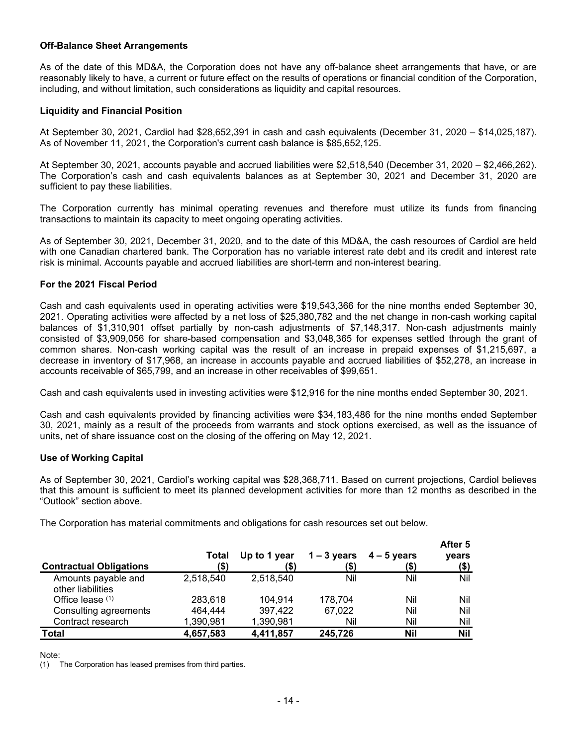#### **Off-Balance Sheet Arrangements**

As of the date of this MD&A, the Corporation does not have any off-balance sheet arrangements that have, or are reasonably likely to have, a current or future effect on the results of operations or financial condition of the Corporation, including, and without limitation, such considerations as liquidity and capital resources.

#### **Liquidity and Financial Position**

At September 30, 2021, Cardiol had \$28,652,391 in cash and cash equivalents (December 31, 2020 – \$14,025,187). As of November 11, 2021, the Corporation's current cash balance is \$85,652,125.

At September 30, 2021, accounts payable and accrued liabilities were \$2,518,540 (December 31, 2020 – \$2,466,262). The Corporation's cash and cash equivalents balances as at September 30, 2021 and December 31, 2020 are sufficient to pay these liabilities.

The Corporation currently has minimal operating revenues and therefore must utilize its funds from financing transactions to maintain its capacity to meet ongoing operating activities.

As of September 30, 2021, December 31, 2020, and to the date of this MD&A, the cash resources of Cardiol are held with one Canadian chartered bank. The Corporation has no variable interest rate debt and its credit and interest rate risk is minimal. Accounts payable and accrued liabilities are short-term and non-interest bearing.

#### **For the 2021 Fiscal Period**

Cash and cash equivalents used in operating activities were \$19,543,366 for the nine months ended September 30, 2021. Operating activities were affected by a net loss of \$25,380,782 and the net change in non-cash working capital balances of \$1,310,901 offset partially by non-cash adjustments of \$7,148,317. Non-cash adjustments mainly consisted of \$3,909,056 for share-based compensation and \$3,048,365 for expenses settled through the grant of common shares. Non-cash working capital was the result of an increase in prepaid expenses of \$1,215,697, a decrease in inventory of \$17,968, an increase in accounts payable and accrued liabilities of \$52,278, an increase in accounts receivable of \$65,799, and an increase in other receivables of \$99,651.

Cash and cash equivalents used in investing activities were \$12,916 for the nine months ended September 30, 2021.

Cash and cash equivalents provided by financing activities were \$34,183,486 for the nine months ended September 30, 2021, mainly as a result of the proceeds from warrants and stock options exercised, as well as the issuance of units, net of share issuance cost on the closing of the offering on May 12, 2021.

## **Use of Working Capital**

As of September 30, 2021, Cardiol's working capital was \$28,368,711. Based on current projections, Cardiol believes that this amount is sufficient to meet its planned development activities for more than 12 months as described in the "Outlook" section above.

The Corporation has material commitments and obligations for cash resources set out below.

| <b>Contractual Obligations</b> | Total<br>(\$) | Up to 1 year<br>(\$) | $1 - 3$ years<br>(\$) | $4 - 5$ years<br>(\$) | After 5<br>years<br>(\$) |
|--------------------------------|---------------|----------------------|-----------------------|-----------------------|--------------------------|
| Amounts payable and            | 2,518,540     | 2,518,540            | Nil                   | Nil                   | Nil                      |
| other liabilities              |               |                      |                       |                       |                          |
| Office lease $(1)$             | 283,618       | 104,914              | 178,704               | Nil                   | Nil                      |
| Consulting agreements          | 464,444       | 397,422              | 67,022                | Nil                   | Nil                      |
| Contract research              | 1,390,981     | 1,390,981            | Nil                   | Nil                   | Nil                      |
| Total                          | 4,657,583     | 4,411,857            | 245,726               | <b>Nil</b>            | <b>Nil</b>               |

#### Note:

(1) The Corporation has leased premises from third parties.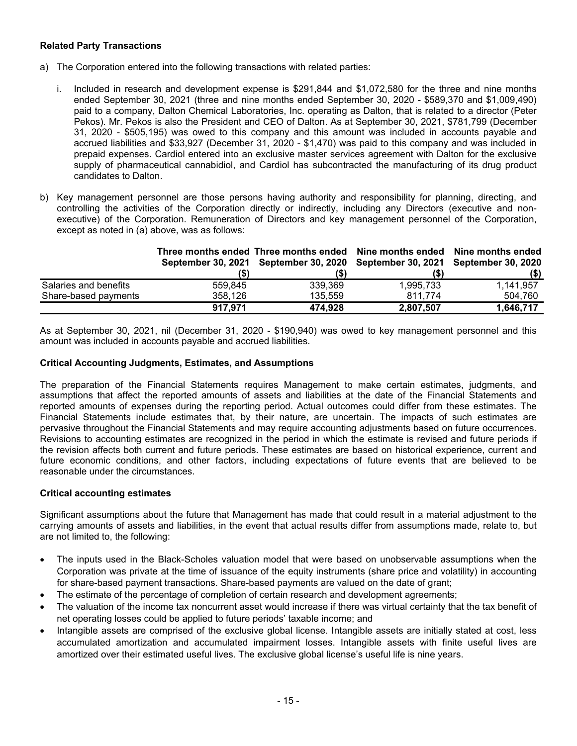## **Related Party Transactions**

- a) The Corporation entered into the following transactions with related parties:
	- i. Included in research and development expense is \$291,844 and \$1,072,580 for the three and nine months ended September 30, 2021 (three and nine months ended September 30, 2020 - \$589,370 and \$1,009,490) paid to a company, Dalton Chemical Laboratories, Inc. operating as Dalton, that is related to a director (Peter Pekos). Mr. Pekos is also the President and CEO of Dalton. As at September 30, 2021, \$781,799 (December 31, 2020 - \$505,195) was owed to this company and this amount was included in accounts payable and accrued liabilities and \$33,927 (December 31, 2020 - \$1,470) was paid to this company and was included in prepaid expenses. Cardiol entered into an exclusive master services agreement with Dalton for the exclusive supply of pharmaceutical cannabidiol, and Cardiol has subcontracted the manufacturing of its drug product candidates to Dalton.
- b) Key management personnel are those persons having authority and responsibility for planning, directing, and controlling the activities of the Corporation directly or indirectly, including any Directors (executive and nonexecutive) of the Corporation. Remuneration of Directors and key management personnel of the Corporation, except as noted in (a) above, was as follows:

|                       | (S)     | Three months ended Three months ended Nine months ended Nine months ended<br>September 30, 2021 September 30, 2020 September 30, 2021 September 30, 2020<br>(\$' |           | (S)       |
|-----------------------|---------|------------------------------------------------------------------------------------------------------------------------------------------------------------------|-----------|-----------|
| Salaries and benefits | 559.845 | 339.369                                                                                                                                                          | 1,995,733 | 1,141,957 |
| Share-based payments  | 358,126 | 135.559                                                                                                                                                          | 811.774   | 504.760   |
|                       | 917.971 | 474,928                                                                                                                                                          | 2,807,507 | 1,646,717 |

As at September 30, 2021, nil (December 31, 2020 - \$190,940) was owed to key management personnel and this amount was included in accounts payable and accrued liabilities.

#### **Critical Accounting Judgments, Estimates, and Assumptions**

The preparation of the Financial Statements requires Management to make certain estimates, judgments, and assumptions that affect the reported amounts of assets and liabilities at the date of the Financial Statements and reported amounts of expenses during the reporting period. Actual outcomes could differ from these estimates. The Financial Statements include estimates that, by their nature, are uncertain. The impacts of such estimates are pervasive throughout the Financial Statements and may require accounting adjustments based on future occurrences. Revisions to accounting estimates are recognized in the period in which the estimate is revised and future periods if the revision affects both current and future periods. These estimates are based on historical experience, current and future economic conditions, and other factors, including expectations of future events that are believed to be reasonable under the circumstances.

#### **Critical accounting estimates**

Significant assumptions about the future that Management has made that could result in a material adjustment to the carrying amounts of assets and liabilities, in the event that actual results differ from assumptions made, relate to, but are not limited to, the following:

- The inputs used in the Black-Scholes valuation model that were based on unobservable assumptions when the Corporation was private at the time of issuance of the equity instruments (share price and volatility) in accounting for share-based payment transactions. Share-based payments are valued on the date of grant;
- The estimate of the percentage of completion of certain research and development agreements;
- The valuation of the income tax noncurrent asset would increase if there was virtual certainty that the tax benefit of net operating losses could be applied to future periods' taxable income; and
- Intangible assets are comprised of the exclusive global license. Intangible assets are initially stated at cost, less accumulated amortization and accumulated impairment losses. Intangible assets with finite useful lives are amortized over their estimated useful lives. The exclusive global license's useful life is nine years.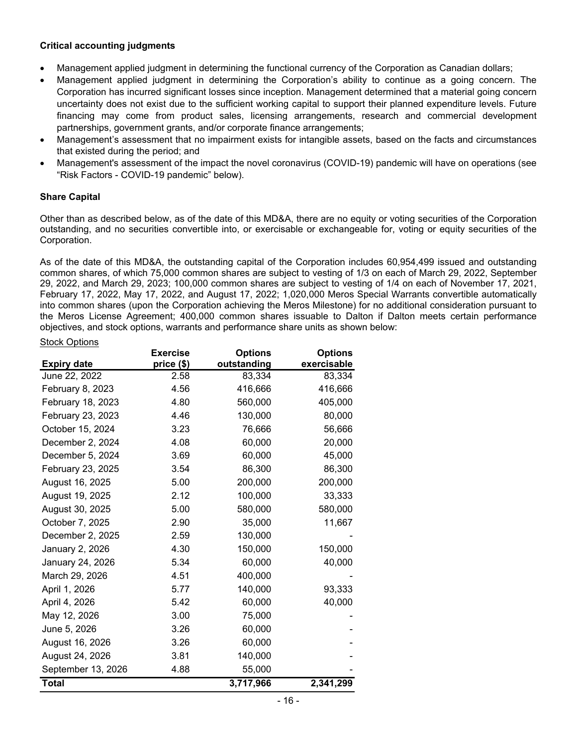## **Critical accounting judgments**

- Management applied judgment in determining the functional currency of the Corporation as Canadian dollars;
- Management applied judgment in determining the Corporation's ability to continue as a going concern. The Corporation has incurred significant losses since inception. Management determined that a material going concern uncertainty does not exist due to the sufficient working capital to support their planned expenditure levels. Future financing may come from product sales, licensing arrangements, research and commercial development partnerships, government grants, and/or corporate finance arrangements;
- Management's assessment that no impairment exists for intangible assets, based on the facts and circumstances that existed during the period; and
- Management's assessment of the impact the novel coronavirus (COVID-19) pandemic will have on operations (see "Risk Factors - COVID-19 pandemic" below).

#### **Share Capital**

Other than as described below, as of the date of this MD&A, there are no equity or voting securities of the Corporation outstanding, and no securities convertible into, or exercisable or exchangeable for, voting or equity securities of the Corporation.

As of the date of this MD&A, the outstanding capital of the Corporation includes 60,954,499 issued and outstanding common shares, of which 75,000 common shares are subject to vesting of 1/3 on each of March 29, 2022, September 29, 2022, and March 29, 2023; 100,000 common shares are subject to vesting of 1/4 on each of November 17, 2021, February 17, 2022, May 17, 2022, and August 17, 2022; 1,020,000 Meros Special Warrants convertible automatically into common shares (upon the Corporation achieving the Meros Milestone) for no additional consideration pursuant to the Meros License Agreement; 400,000 common shares issuable to Dalton if Dalton meets certain performance objectives, and stock options, warrants and performance share units as shown below:

#### Stock Options

|                    | <b>Exercise</b> | <b>Options</b> | <b>Options</b> |
|--------------------|-----------------|----------------|----------------|
| <b>Expiry date</b> | price (\$)      | outstanding    | exercisable    |
| June 22, 2022      | 2.58            | 83,334         | 83,334         |
| February 8, 2023   | 4.56            | 416,666        | 416,666        |
| February 18, 2023  | 4.80            | 560,000        | 405,000        |
| February 23, 2023  | 4.46            | 130,000        | 80,000         |
| October 15, 2024   | 3.23            | 76,666         | 56,666         |
| December 2, 2024   | 4.08            | 60,000         | 20,000         |
| December 5, 2024   | 3.69            | 60,000         | 45,000         |
| February 23, 2025  | 3.54            | 86,300         | 86,300         |
| August 16, 2025    | 5.00            | 200,000        | 200,000        |
| August 19, 2025    | 2.12            | 100,000        | 33,333         |
| August 30, 2025    | 5.00            | 580,000        | 580,000        |
| October 7, 2025    | 2.90            | 35,000         | 11,667         |
| December 2, 2025   | 2.59            | 130,000        |                |
| January 2, 2026    | 4.30            | 150,000        | 150,000        |
| January 24, 2026   | 5.34            | 60,000         | 40,000         |
| March 29, 2026     | 4.51            | 400,000        |                |
| April 1, 2026      | 5.77            | 140,000        | 93,333         |
| April 4, 2026      | 5.42            | 60,000         | 40,000         |
| May 12, 2026       | 3.00            | 75,000         |                |
| June 5, 2026       | 3.26            | 60,000         |                |
| August 16, 2026    | 3.26            | 60,000         |                |
| August 24, 2026    | 3.81            | 140,000        |                |
| September 13, 2026 | 4.88            | 55,000         |                |
| <b>Total</b>       |                 | 3,717,966      | 2,341,299      |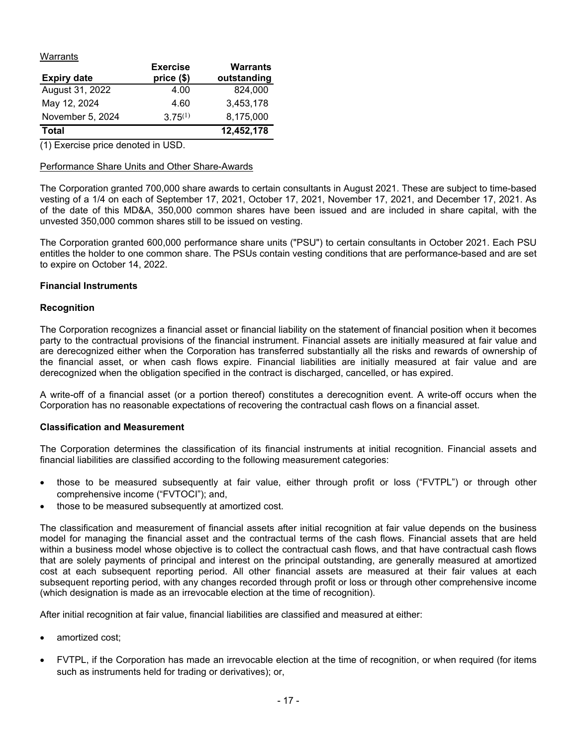Warrants

| <b>Expiry date</b> | <b>Exercise</b><br>price (\$) | <b>Warrants</b><br>outstanding |
|--------------------|-------------------------------|--------------------------------|
| August 31, 2022    | 4.00                          | 824,000                        |
| May 12, 2024       | 4.60                          | 3,453,178                      |
| November 5, 2024   | $3.75^{(1)}$                  | 8,175,000                      |
| <b>Total</b>       |                               | 12,452,178                     |

(1) Exercise price denoted in USD.

## Performance Share Units and Other Share-Awards

The Corporation granted 700,000 share awards to certain consultants in August 2021. These are subject to time-based vesting of a 1/4 on each of September 17, 2021, October 17, 2021, November 17, 2021, and December 17, 2021. As of the date of this MD&A, 350,000 common shares have been issued and are included in share capital, with the unvested 350,000 common shares still to be issued on vesting.

The Corporation granted 600,000 performance share units ("PSU") to certain consultants in October 2021. Each PSU entitles the holder to one common share. The PSUs contain vesting conditions that are performance-based and are set to expire on October 14, 2022.

#### **Financial Instruments**

#### **Recognition**

The Corporation recognizes a financial asset or financial liability on the statement of financial position when it becomes party to the contractual provisions of the financial instrument. Financial assets are initially measured at fair value and are derecognized either when the Corporation has transferred substantially all the risks and rewards of ownership of the financial asset, or when cash flows expire. Financial liabilities are initially measured at fair value and are derecognized when the obligation specified in the contract is discharged, cancelled, or has expired.

A write-off of a financial asset (or a portion thereof) constitutes a derecognition event. A write-off occurs when the Corporation has no reasonable expectations of recovering the contractual cash flows on a financial asset.

#### **Classification and Measurement**

The Corporation determines the classification of its financial instruments at initial recognition. Financial assets and financial liabilities are classified according to the following measurement categories:

- those to be measured subsequently at fair value, either through profit or loss ("FVTPL") or through other comprehensive income ("FVTOCI"); and,
- those to be measured subsequently at amortized cost.

The classification and measurement of financial assets after initial recognition at fair value depends on the business model for managing the financial asset and the contractual terms of the cash flows. Financial assets that are held within a business model whose objective is to collect the contractual cash flows, and that have contractual cash flows that are solely payments of principal and interest on the principal outstanding, are generally measured at amortized cost at each subsequent reporting period. All other financial assets are measured at their fair values at each subsequent reporting period, with any changes recorded through profit or loss or through other comprehensive income (which designation is made as an irrevocable election at the time of recognition).

After initial recognition at fair value, financial liabilities are classified and measured at either:

- amortized cost;
- FVTPL, if the Corporation has made an irrevocable election at the time of recognition, or when required (for items such as instruments held for trading or derivatives); or,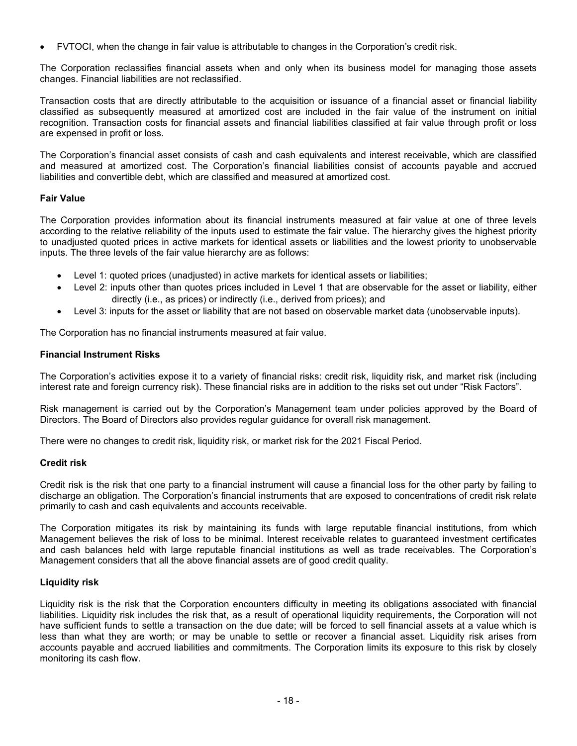FVTOCI, when the change in fair value is attributable to changes in the Corporation's credit risk.

The Corporation reclassifies financial assets when and only when its business model for managing those assets changes. Financial liabilities are not reclassified.

Transaction costs that are directly attributable to the acquisition or issuance of a financial asset or financial liability classified as subsequently measured at amortized cost are included in the fair value of the instrument on initial recognition. Transaction costs for financial assets and financial liabilities classified at fair value through profit or loss are expensed in profit or loss.

The Corporation's financial asset consists of cash and cash equivalents and interest receivable, which are classified and measured at amortized cost. The Corporation's financial liabilities consist of accounts payable and accrued liabilities and convertible debt, which are classified and measured at amortized cost.

## **Fair Value**

The Corporation provides information about its financial instruments measured at fair value at one of three levels according to the relative reliability of the inputs used to estimate the fair value. The hierarchy gives the highest priority to unadjusted quoted prices in active markets for identical assets or liabilities and the lowest priority to unobservable inputs. The three levels of the fair value hierarchy are as follows:

- Level 1: quoted prices (unadjusted) in active markets for identical assets or liabilities;
- Level 2: inputs other than quotes prices included in Level 1 that are observable for the asset or liability, either directly (i.e., as prices) or indirectly (i.e., derived from prices); and
- Level 3: inputs for the asset or liability that are not based on observable market data (unobservable inputs).

The Corporation has no financial instruments measured at fair value.

# **Financial Instrument Risks**

The Corporation's activities expose it to a variety of financial risks: credit risk, liquidity risk, and market risk (including interest rate and foreign currency risk). These financial risks are in addition to the risks set out under "Risk Factors".

Risk management is carried out by the Corporation's Management team under policies approved by the Board of Directors. The Board of Directors also provides regular guidance for overall risk management.

There were no changes to credit risk, liquidity risk, or market risk for the 2021 Fiscal Period.

## **Credit risk**

Credit risk is the risk that one party to a financial instrument will cause a financial loss for the other party by failing to discharge an obligation. The Corporation's financial instruments that are exposed to concentrations of credit risk relate primarily to cash and cash equivalents and accounts receivable.

The Corporation mitigates its risk by maintaining its funds with large reputable financial institutions, from which Management believes the risk of loss to be minimal. Interest receivable relates to guaranteed investment certificates and cash balances held with large reputable financial institutions as well as trade receivables. The Corporation's Management considers that all the above financial assets are of good credit quality.

## **Liquidity risk**

Liquidity risk is the risk that the Corporation encounters difficulty in meeting its obligations associated with financial liabilities. Liquidity risk includes the risk that, as a result of operational liquidity requirements, the Corporation will not have sufficient funds to settle a transaction on the due date; will be forced to sell financial assets at a value which is less than what they are worth; or may be unable to settle or recover a financial asset. Liquidity risk arises from accounts payable and accrued liabilities and commitments. The Corporation limits its exposure to this risk by closely monitoring its cash flow.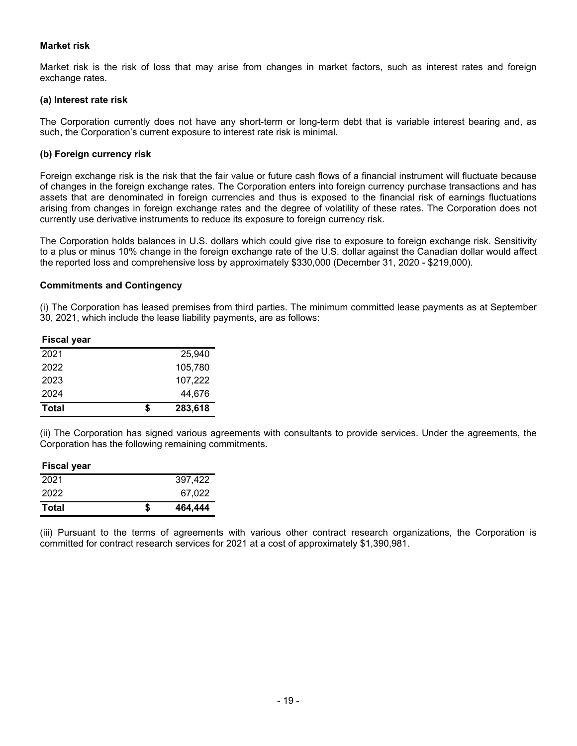### **Market risk**

Market risk is the risk of loss that may arise from changes in market factors, such as interest rates and foreign exchange rates.

#### **(a) Interest rate risk**

The Corporation currently does not have any short-term or long-term debt that is variable interest bearing and, as such, the Corporation's current exposure to interest rate risk is minimal.

#### **(b) Foreign currency risk**

Foreign exchange risk is the risk that the fair value or future cash flows of a financial instrument will fluctuate because of changes in the foreign exchange rates. The Corporation enters into foreign currency purchase transactions and has assets that are denominated in foreign currencies and thus is exposed to the financial risk of earnings fluctuations arising from changes in foreign exchange rates and the degree of volatility of these rates. The Corporation does not currently use derivative instruments to reduce its exposure to foreign currency risk.

The Corporation holds balances in U.S. dollars which could give rise to exposure to foreign exchange risk. Sensitivity to a plus or minus 10% change in the foreign exchange rate of the U.S. dollar against the Canadian dollar would affect the reported loss and comprehensive loss by approximately \$330,000 (December 31, 2020 - \$219,000).

#### **Commitments and Contingency**

(i) The Corporation has leased premises from third parties. The minimum committed lease payments as at September 30, 2021, which include the lease liability payments, are as follows:

#### **Fiscal year**

| Total | S | 283,618 |
|-------|---|---------|
| 2024  |   | 44,676  |
| 2023  |   | 107,222 |
| 2022  |   | 105,780 |
| 2021  |   | 25,940  |
|       |   |         |

(ii) The Corporation has signed various agreements with consultants to provide services. Under the agreements, the Corporation has the following remaining commitments.

#### **Fiscal year**

| <b>Total</b> | S | 464,444 |
|--------------|---|---------|
| 2022         |   | 67,022  |
| 2021         |   | 397,422 |
|              |   |         |

(iii) Pursuant to the terms of agreements with various other contract research organizations, the Corporation is committed for contract research services for 2021 at a cost of approximately \$1,390,981.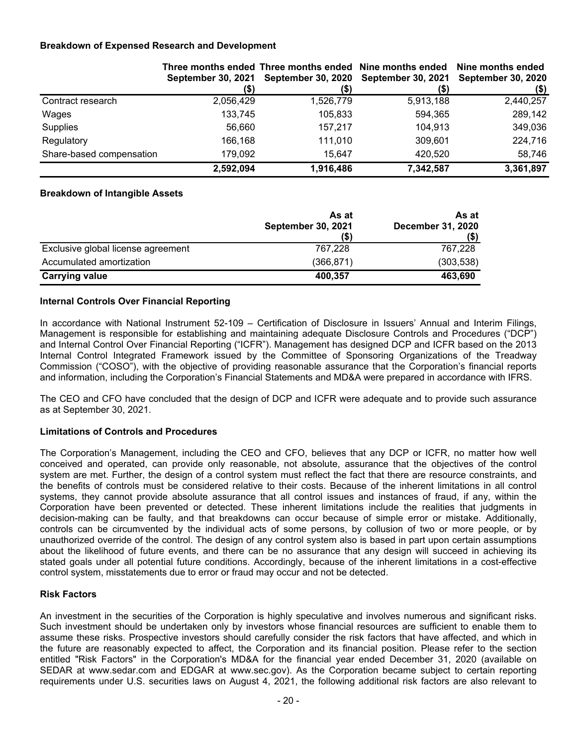## **Breakdown of Expensed Research and Development**

|                          |           | Three months ended Three months ended Nine months ended Nine months ended<br>September 30, 2021 September 30, 2020 September 30, 2021 September 30, 2020 |           |           |
|--------------------------|-----------|----------------------------------------------------------------------------------------------------------------------------------------------------------|-----------|-----------|
|                          | (\$)      |                                                                                                                                                          |           | (\$)      |
| Contract research        | 2,056,429 | 1,526,779                                                                                                                                                | 5,913,188 | 2,440,257 |
| Wages                    | 133,745   | 105,833                                                                                                                                                  | 594,365   | 289,142   |
| Supplies                 | 56.660    | 157.217                                                                                                                                                  | 104,913   | 349,036   |
| Regulatory               | 166,168   | 111,010                                                                                                                                                  | 309,601   | 224,716   |
| Share-based compensation | 179,092   | 15.647                                                                                                                                                   | 420,520   | 58,746    |
|                          | 2,592,094 | 1,916,486                                                                                                                                                | 7,342,587 | 3,361,897 |

#### **Breakdown of Intangible Assets**

|                                    | As at<br><b>September 30, 2021</b><br>(\$) | As at<br><b>December 31, 2020</b><br>(\$) |
|------------------------------------|--------------------------------------------|-------------------------------------------|
| Exclusive global license agreement | 767,228                                    | 767,228                                   |
| Accumulated amortization           | (366, 871)                                 | (303, 538)                                |
| <b>Carrying value</b>              | 400,357                                    | 463,690                                   |

## **Internal Controls Over Financial Reporting**

In accordance with National Instrument 52-109 – Certification of Disclosure in Issuers' Annual and Interim Filings, Management is responsible for establishing and maintaining adequate Disclosure Controls and Procedures ("DCP") and Internal Control Over Financial Reporting ("ICFR"). Management has designed DCP and ICFR based on the 2013 Internal Control Integrated Framework issued by the Committee of Sponsoring Organizations of the Treadway Commission ("COSO"), with the objective of providing reasonable assurance that the Corporation's financial reports and information, including the Corporation's Financial Statements and MD&A were prepared in accordance with IFRS.

The CEO and CFO have concluded that the design of DCP and ICFR were adequate and to provide such assurance as at September 30, 2021.

#### **Limitations of Controls and Procedures**

The Corporation's Management, including the CEO and CFO, believes that any DCP or ICFR, no matter how well conceived and operated, can provide only reasonable, not absolute, assurance that the objectives of the control system are met. Further, the design of a control system must reflect the fact that there are resource constraints, and the benefits of controls must be considered relative to their costs. Because of the inherent limitations in all control systems, they cannot provide absolute assurance that all control issues and instances of fraud, if any, within the Corporation have been prevented or detected. These inherent limitations include the realities that judgments in decision-making can be faulty, and that breakdowns can occur because of simple error or mistake. Additionally, controls can be circumvented by the individual acts of some persons, by collusion of two or more people, or by unauthorized override of the control. The design of any control system also is based in part upon certain assumptions about the likelihood of future events, and there can be no assurance that any design will succeed in achieving its stated goals under all potential future conditions. Accordingly, because of the inherent limitations in a cost-effective control system, misstatements due to error or fraud may occur and not be detected.

#### **Risk Factors**

An investment in the securities of the Corporation is highly speculative and involves numerous and significant risks. Such investment should be undertaken only by investors whose financial resources are sufficient to enable them to assume these risks. Prospective investors should carefully consider the risk factors that have affected, and which in the future are reasonably expected to affect, the Corporation and its financial position. Please refer to the section entitled "Risk Factors" in the Corporation's MD&A for the financial year ended December 31, 2020 (available on SEDAR at www.sedar.com and EDGAR at www.sec.gov). As the Corporation became subject to certain reporting requirements under U.S. securities laws on August 4, 2021, the following additional risk factors are also relevant to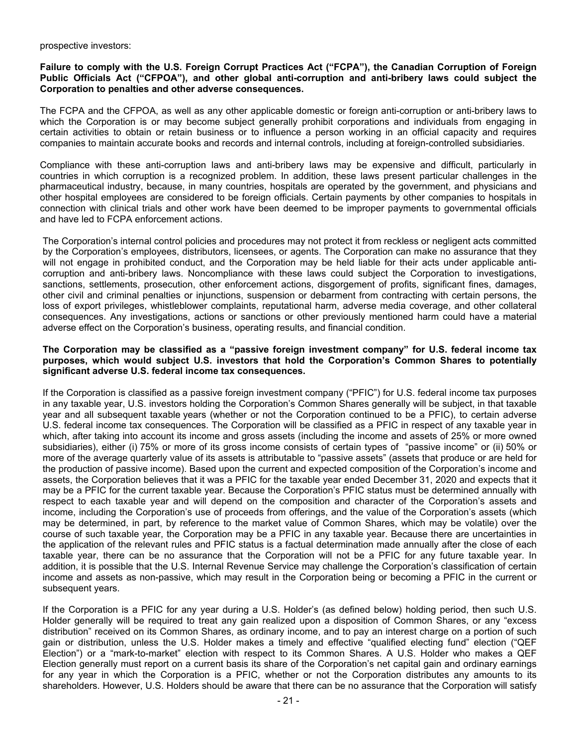#### prospective investors:

#### **Failure to comply with the U.S. Foreign Corrupt Practices Act ("FCPA"), the Canadian Corruption of Foreign Public Officials Act ("CFPOA"), and other global anti-corruption and anti-bribery laws could subject the Corporation to penalties and other adverse consequences.**

The FCPA and the CFPOA, as well as any other applicable domestic or foreign anti-corruption or anti-bribery laws to which the Corporation is or may become subject generally prohibit corporations and individuals from engaging in certain activities to obtain or retain business or to influence a person working in an official capacity and requires companies to maintain accurate books and records and internal controls, including at foreign-controlled subsidiaries.

Compliance with these anti-corruption laws and anti-bribery laws may be expensive and difficult, particularly in countries in which corruption is a recognized problem. In addition, these laws present particular challenges in the pharmaceutical industry, because, in many countries, hospitals are operated by the government, and physicians and other hospital employees are considered to be foreign officials. Certain payments by other companies to hospitals in connection with clinical trials and other work have been deemed to be improper payments to governmental officials and have led to FCPA enforcement actions.

The Corporation's internal control policies and procedures may not protect it from reckless or negligent acts committed by the Corporation's employees, distributors, licensees, or agents. The Corporation can make no assurance that they will not engage in prohibited conduct, and the Corporation may be held liable for their acts under applicable anticorruption and anti-bribery laws. Noncompliance with these laws could subject the Corporation to investigations, sanctions, settlements, prosecution, other enforcement actions, disgorgement of profits, significant fines, damages, other civil and criminal penalties or injunctions, suspension or debarment from contracting with certain persons, the loss of export privileges, whistleblower complaints, reputational harm, adverse media coverage, and other collateral consequences. Any investigations, actions or sanctions or other previously mentioned harm could have a material adverse effect on the Corporation's business, operating results, and financial condition.

#### **The Corporation may be classified as a "passive foreign investment company" for U.S. federal income tax purposes, which would subject U.S. investors that hold the Corporation's Common Shares to potentially significant adverse U.S. federal income tax consequences.**

If the Corporation is classified as a passive foreign investment company ("PFIC") for U.S. federal income tax purposes in any taxable year, U.S. investors holding the Corporation's Common Shares generally will be subject, in that taxable year and all subsequent taxable years (whether or not the Corporation continued to be a PFIC), to certain adverse U.S. federal income tax consequences. The Corporation will be classified as a PFIC in respect of any taxable year in which, after taking into account its income and gross assets (including the income and assets of 25% or more owned subsidiaries), either (i) 75% or more of its gross income consists of certain types of "passive income" or (ii) 50% or more of the average quarterly value of its assets is attributable to "passive assets" (assets that produce or are held for the production of passive income). Based upon the current and expected composition of the Corporation's income and assets, the Corporation believes that it was a PFIC for the taxable year ended December 31, 2020 and expects that it may be a PFIC for the current taxable year. Because the Corporation's PFIC status must be determined annually with respect to each taxable year and will depend on the composition and character of the Corporation's assets and income, including the Corporation's use of proceeds from offerings, and the value of the Corporation's assets (which may be determined, in part, by reference to the market value of Common Shares, which may be volatile) over the course of such taxable year, the Corporation may be a PFIC in any taxable year. Because there are uncertainties in the application of the relevant rules and PFIC status is a factual determination made annually after the close of each taxable year, there can be no assurance that the Corporation will not be a PFIC for any future taxable year. In addition, it is possible that the U.S. Internal Revenue Service may challenge the Corporation's classification of certain income and assets as non-passive, which may result in the Corporation being or becoming a PFIC in the current or subsequent years.

If the Corporation is a PFIC for any year during a U.S. Holder's (as defined below) holding period, then such U.S. Holder generally will be required to treat any gain realized upon a disposition of Common Shares, or any "excess distribution" received on its Common Shares, as ordinary income, and to pay an interest charge on a portion of such gain or distribution, unless the U.S. Holder makes a timely and effective "qualified electing fund" election ("QEF Election") or a "mark-to-market" election with respect to its Common Shares. A U.S. Holder who makes a QEF Election generally must report on a current basis its share of the Corporation's net capital gain and ordinary earnings for any year in which the Corporation is a PFIC, whether or not the Corporation distributes any amounts to its shareholders. However, U.S. Holders should be aware that there can be no assurance that the Corporation will satisfy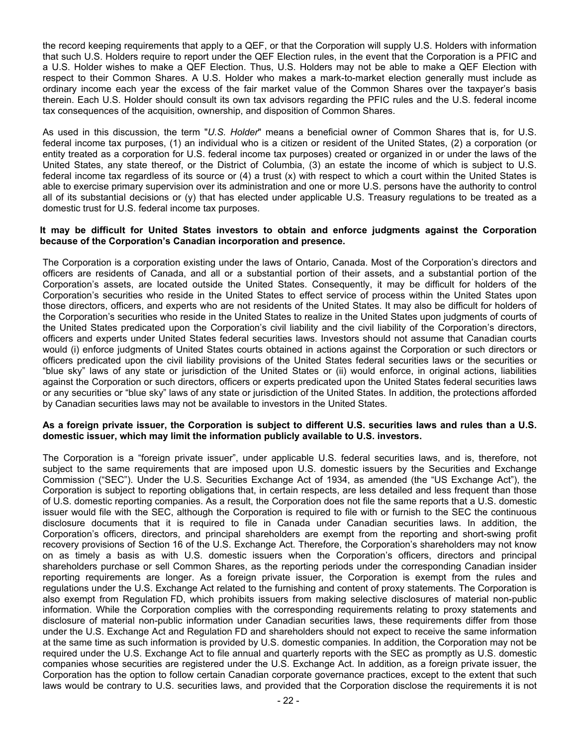the record keeping requirements that apply to a QEF, or that the Corporation will supply U.S. Holders with information that such U.S. Holders require to report under the QEF Election rules, in the event that the Corporation is a PFIC and a U.S. Holder wishes to make a QEF Election. Thus, U.S. Holders may not be able to make a QEF Election with respect to their Common Shares. A U.S. Holder who makes a mark-to-market election generally must include as ordinary income each year the excess of the fair market value of the Common Shares over the taxpayer's basis therein. Each U.S. Holder should consult its own tax advisors regarding the PFIC rules and the U.S. federal income tax consequences of the acquisition, ownership, and disposition of Common Shares.

As used in this discussion, the term "*U.S. Holder*" means a beneficial owner of Common Shares that is, for U.S. federal income tax purposes, (1) an individual who is a citizen or resident of the United States, (2) a corporation (or entity treated as a corporation for U.S. federal income tax purposes) created or organized in or under the laws of the United States, any state thereof, or the District of Columbia, (3) an estate the income of which is subject to U.S. federal income tax regardless of its source or (4) a trust (x) with respect to which a court within the United States is able to exercise primary supervision over its administration and one or more U.S. persons have the authority to control all of its substantial decisions or (y) that has elected under applicable U.S. Treasury regulations to be treated as a domestic trust for U.S. federal income tax purposes.

#### **It may be difficult for United States investors to obtain and enforce judgments against the Corporation because of the Corporation's Canadian incorporation and presence.**

The Corporation is a corporation existing under the laws of Ontario, Canada. Most of the Corporation's directors and officers are residents of Canada, and all or a substantial portion of their assets, and a substantial portion of the Corporation's assets, are located outside the United States. Consequently, it may be difficult for holders of the Corporation's securities who reside in the United States to effect service of process within the United States upon those directors, officers, and experts who are not residents of the United States. It may also be difficult for holders of the Corporation's securities who reside in the United States to realize in the United States upon judgments of courts of the United States predicated upon the Corporation's civil liability and the civil liability of the Corporation's directors, officers and experts under United States federal securities laws. Investors should not assume that Canadian courts would (i) enforce judgments of United States courts obtained in actions against the Corporation or such directors or officers predicated upon the civil liability provisions of the United States federal securities laws or the securities or "blue sky" laws of any state or jurisdiction of the United States or (ii) would enforce, in original actions, liabilities against the Corporation or such directors, officers or experts predicated upon the United States federal securities laws or any securities or "blue sky" laws of any state or jurisdiction of the United States. In addition, the protections afforded by Canadian securities laws may not be available to investors in the United States.

#### **As a foreign private issuer, the Corporation is subject to different U.S. securities laws and rules than a U.S. domestic issuer, which may limit the information publicly available to U.S. investors.**

The Corporation is a "foreign private issuer", under applicable U.S. federal securities laws, and is, therefore, not subject to the same requirements that are imposed upon U.S. domestic issuers by the Securities and Exchange Commission ("SEC"). Under the U.S. Securities Exchange Act of 1934, as amended (the "US Exchange Act"), the Corporation is subject to reporting obligations that, in certain respects, are less detailed and less frequent than those of U.S. domestic reporting companies. As a result, the Corporation does not file the same reports that a U.S. domestic issuer would file with the SEC, although the Corporation is required to file with or furnish to the SEC the continuous disclosure documents that it is required to file in Canada under Canadian securities laws. In addition, the Corporation's officers, directors, and principal shareholders are exempt from the reporting and short-swing profit recovery provisions of Section 16 of the U.S. Exchange Act. Therefore, the Corporation's shareholders may not know on as timely a basis as with U.S. domestic issuers when the Corporation's officers, directors and principal shareholders purchase or sell Common Shares, as the reporting periods under the corresponding Canadian insider reporting requirements are longer. As a foreign private issuer, the Corporation is exempt from the rules and regulations under the U.S. Exchange Act related to the furnishing and content of proxy statements. The Corporation is also exempt from Regulation FD, which prohibits issuers from making selective disclosures of material non-public information. While the Corporation complies with the corresponding requirements relating to proxy statements and disclosure of material non-public information under Canadian securities laws, these requirements differ from those under the U.S. Exchange Act and Regulation FD and shareholders should not expect to receive the same information at the same time as such information is provided by U.S. domestic companies. In addition, the Corporation may not be required under the U.S. Exchange Act to file annual and quarterly reports with the SEC as promptly as U.S. domestic companies whose securities are registered under the U.S. Exchange Act. In addition, as a foreign private issuer, the Corporation has the option to follow certain Canadian corporate governance practices, except to the extent that such laws would be contrary to U.S. securities laws, and provided that the Corporation disclose the requirements it is not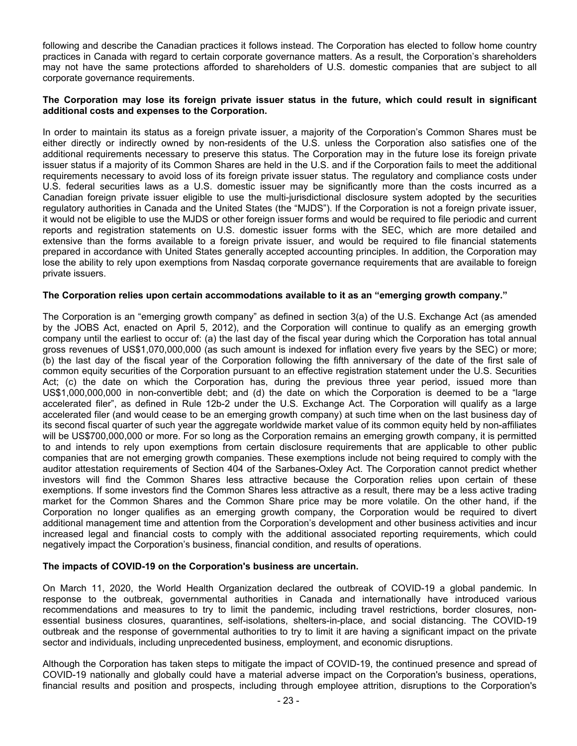following and describe the Canadian practices it follows instead. The Corporation has elected to follow home country practices in Canada with regard to certain corporate governance matters. As a result, the Corporation's shareholders may not have the same protections afforded to shareholders of U.S. domestic companies that are subject to all corporate governance requirements.

#### **The Corporation may lose its foreign private issuer status in the future, which could result in significant additional costs and expenses to the Corporation.**

In order to maintain its status as a foreign private issuer, a majority of the Corporation's Common Shares must be either directly or indirectly owned by non-residents of the U.S. unless the Corporation also satisfies one of the additional requirements necessary to preserve this status. The Corporation may in the future lose its foreign private issuer status if a majority of its Common Shares are held in the U.S. and if the Corporation fails to meet the additional requirements necessary to avoid loss of its foreign private issuer status. The regulatory and compliance costs under U.S. federal securities laws as a U.S. domestic issuer may be significantly more than the costs incurred as a Canadian foreign private issuer eligible to use the multi-jurisdictional disclosure system adopted by the securities regulatory authorities in Canada and the United States (the "MJDS"). If the Corporation is not a foreign private issuer, it would not be eligible to use the MJDS or other foreign issuer forms and would be required to file periodic and current reports and registration statements on U.S. domestic issuer forms with the SEC, which are more detailed and extensive than the forms available to a foreign private issuer, and would be required to file financial statements prepared in accordance with United States generally accepted accounting principles. In addition, the Corporation may lose the ability to rely upon exemptions from Nasdaq corporate governance requirements that are available to foreign private issuers.

#### **The Corporation relies upon certain accommodations available to it as an "emerging growth company."**

The Corporation is an "emerging growth company" as defined in section 3(a) of the U.S. Exchange Act (as amended by the JOBS Act, enacted on April 5, 2012), and the Corporation will continue to qualify as an emerging growth company until the earliest to occur of: (a) the last day of the fiscal year during which the Corporation has total annual gross revenues of US\$1,070,000,000 (as such amount is indexed for inflation every five years by the SEC) or more; (b) the last day of the fiscal year of the Corporation following the fifth anniversary of the date of the first sale of common equity securities of the Corporation pursuant to an effective registration statement under the U.S. Securities Act; (c) the date on which the Corporation has, during the previous three year period, issued more than US\$1,000,000,000 in non-convertible debt; and (d) the date on which the Corporation is deemed to be a "large accelerated filer", as defined in Rule 12b-2 under the U.S. Exchange Act. The Corporation will qualify as a large accelerated filer (and would cease to be an emerging growth company) at such time when on the last business day of its second fiscal quarter of such year the aggregate worldwide market value of its common equity held by non-affiliates will be US\$700,000,000 or more. For so long as the Corporation remains an emerging growth company, it is permitted to and intends to rely upon exemptions from certain disclosure requirements that are applicable to other public companies that are not emerging growth companies. These exemptions include not being required to comply with the auditor attestation requirements of Section 404 of the Sarbanes-Oxley Act. The Corporation cannot predict whether investors will find the Common Shares less attractive because the Corporation relies upon certain of these exemptions. If some investors find the Common Shares less attractive as a result, there may be a less active trading market for the Common Shares and the Common Share price may be more volatile. On the other hand, if the Corporation no longer qualifies as an emerging growth company, the Corporation would be required to divert additional management time and attention from the Corporation's development and other business activities and incur increased legal and financial costs to comply with the additional associated reporting requirements, which could negatively impact the Corporation's business, financial condition, and results of operations.

#### **The impacts of COVID-19 on the Corporation's business are uncertain.**

On March 11, 2020, the World Health Organization declared the outbreak of COVID-19 a global pandemic. In response to the outbreak, governmental authorities in Canada and internationally have introduced various recommendations and measures to try to limit the pandemic, including travel restrictions, border closures, nonessential business closures, quarantines, self-isolations, shelters-in-place, and social distancing. The COVID-19 outbreak and the response of governmental authorities to try to limit it are having a significant impact on the private sector and individuals, including unprecedented business, employment, and economic disruptions.

Although the Corporation has taken steps to mitigate the impact of COVID-19, the continued presence and spread of COVID-19 nationally and globally could have a material adverse impact on the Corporation's business, operations, financial results and position and prospects, including through employee attrition, disruptions to the Corporation's